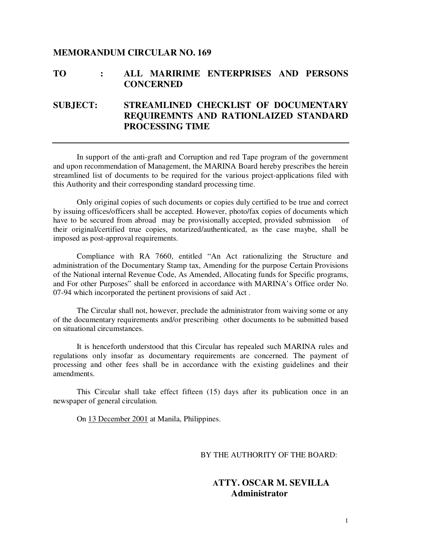## **MEMORANDUM CIRCULAR NO. 169**

## **TO : ALL MARIRIME ENTERPRISES AND PERSONS CONCERNED**

## **SUBJECT: STREAMLINED CHECKLIST OF DOCUMENTARY REQUIREMNTS AND RATIONLAIZED STANDARD PROCESSING TIME**

 In support of the anti-graft and Corruption and red Tape program of the government and upon recommendation of Management, the MARINA Board hereby prescribes the herein streamlined list of documents to be required for the various project-applications filed with this Authority and their corresponding standard processing time.

 Only original copies of such documents or copies duly certified to be true and correct by issuing offices/officers shall be accepted. However, photo/fax copies of documents which have to be secured from abroad may be provisionally accepted, provided submission of their original/certified true copies, notarized/authenticated, as the case maybe, shall be imposed as post-approval requirements.

 Compliance with RA 7660, entitled "An Act rationalizing the Structure and administration of the Documentary Stamp tax, Amending for the purpose Certain Provisions of the National internal Revenue Code, As Amended, Allocating funds for Specific programs, and For other Purposes" shall be enforced in accordance with MARINA's Office order No. 07-94 which incorporated the pertinent provisions of said Act .

 The Circular shall not, however, preclude the administrator from waiving some or any of the documentary requirements and/or prescribing other documents to be submitted based on situational circumstances.

 It is henceforth understood that this Circular has repealed such MARINA rules and regulations only insofar as documentary requirements are concerned. The payment of processing and other fees shall be in accordance with the existing guidelines and their amendments.

 This Circular shall take effect fifteen (15) days after its publication once in an newspaper of general circulation.

On 13 December 2001 at Manila, Philippines.

### BY THE AUTHORITY OF THE BOARD:

## **ATTY. OSCAR M. SEVILLA Administrator**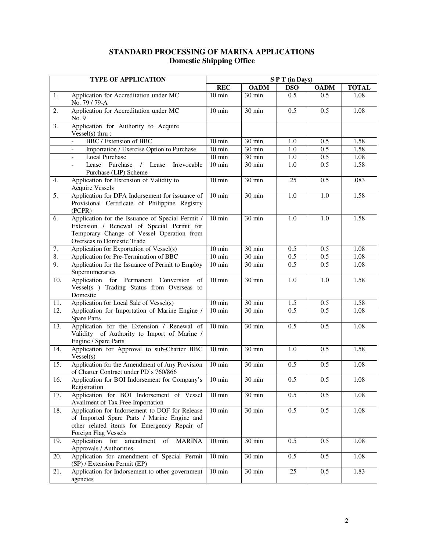## **STANDARD PROCESSING OF MARINA APPLICATIONS Domestic Shipping Office**

|                   | <b>TYPE OF APPLICATION</b>                                                                                                                                               | SPT (in Days)    |                     |            |                  |              |
|-------------------|--------------------------------------------------------------------------------------------------------------------------------------------------------------------------|------------------|---------------------|------------|------------------|--------------|
|                   |                                                                                                                                                                          | <b>REC</b>       | <b>OADM</b>         | <b>DSO</b> | <b>OADM</b>      | <b>TOTAL</b> |
| 1.                | Application for Accreditation under MC<br>No. 79 / 79-A                                                                                                                  | $10 \text{ min}$ | $30 \text{ min}$    | 0.5        | 0.5              | 1.08         |
| 2.                | Application for Accreditation under MC<br>No. 9                                                                                                                          | $10 \text{ min}$ | 30 min              | 0.5        | 0.5              | 1.08         |
| 3.                | Application for Authority to Acquire<br>$Vessel(s)$ thru:                                                                                                                |                  |                     |            |                  |              |
|                   | BBC / Extension of BBC                                                                                                                                                   | $10 \text{ min}$ | 30 min              | 1.0        | 0.5              | 1.58         |
|                   | Importation / Exercise Option to Purchase                                                                                                                                | $10 \text{ min}$ | 30 min              | 1.0        | 0.5              | 1.58         |
|                   | Local Purchase                                                                                                                                                           | $10 \text{ min}$ | 30 min              | 1.0        | 0.5              | 1.08         |
|                   | Lease Purchase<br>$\sqrt{ }$<br>Lease<br>Irrevocable<br>Purchase (LIP) Scheme                                                                                            | $10 \text{ min}$ | 30 min              | 1.0        | $\overline{0.5}$ | 1.58         |
| 4.                | Application for Extension of Validity to<br><b>Acquire Vessels</b>                                                                                                       | $10 \text{ min}$ | 30 min              | .25        | 0.5              | .083         |
| 5.                | Application for DFA Indorsement for issuance of<br>Provisional Certificate of Philippine Registry<br>(PCPR)                                                              | $10 \text{ min}$ | 30 min              | 1.0        | $\overline{1.0}$ | 1.58         |
| 6.                | Application for the Issuance of Special Permit /<br>Extension / Renewal of Special Permit for<br>Temporary Change of Vessel Operation from<br>Overseas to Domestic Trade | $10 \text{ min}$ | 30 min              | 1.0        | 1.0              | 1.58         |
| 7.                | Application for Exportation of Vessel(s)                                                                                                                                 | $10 \text{ min}$ | 30 min              | 0.5        | 0.5              | 1.08         |
| $\overline{8}$ .  | Application for Pre-Termination of BBC                                                                                                                                   | $10 \text{ min}$ | $\overline{30}$ min | 0.5        | 0.5              | 1.08         |
| $\overline{9}$ .  | Application for the Issuance of Permit to Employ<br>Supernumeraries                                                                                                      | $10 \text{ min}$ | 30 min              | 0.5        | 0.5              | 1.08         |
| 10.               | Application for Permanent Conversion<br>of<br>Vessel(s ) Trading Status from Overseas to<br>Domestic                                                                     | $10 \text{ min}$ | 30 min              | 1.0        | 1.0              | 1.58         |
| 11.               | Application for Local Sale of Vessel(s)                                                                                                                                  | $10 \text{ min}$ | $30 \text{ min}$    | 1.5        | $0.\overline{5}$ | 1.58         |
| $\overline{12}$ . | Application for Importation of Marine Engine /<br><b>Spare Parts</b>                                                                                                     | $10 \text{ min}$ | $30 \text{ min}$    | 0.5        | 0.5              | 1.08         |
| 13.               | Application for the Extension / Renewal of<br>Validity of Authority to Import of Marine /<br>Engine / Spare Parts                                                        | $10 \text{ min}$ | 30 min              | 0.5        | 0.5              | 1.08         |
| 14.               | Application for Approval to sub-Charter BBC<br>Vessel(s)                                                                                                                 | $10 \text{ min}$ | 30 min              | 1.0        | 0.5              | 1.58         |
| 15.               | Application for the Amendment of Any Provision<br>of Charter Contract under PD's 760/866                                                                                 | $10 \text{ min}$ | 30 min              | 0.5        | 0.5              | 1.08         |
| 16.               | Application for BOI Indorsement for Company's<br>Registration                                                                                                            | $10 \text{ min}$ | 30 min              | 0.5        | 0.5              | 1.08         |
| 17.               | Application for BOI Indorsement of Vessel<br>Availment of Tax Free Importation                                                                                           | $10 \text{ min}$ | 30 min              | 0.5        | 0.5              | 1.08         |
| 18.               | Application for Indorsement to DOF for Release<br>of Imported Spare Parts / Marine Engine and<br>other related items for Emergency Repair of<br>Foreign Flag Vessels     | $10 \text{ min}$ | 30 min              | 0.5        | 0.5              | 1.08         |
| 19.               | $\overline{\text{of}}$<br>Application for amendment<br><b>MARINA</b><br>Approvals / Authorities                                                                          | $10 \text{ min}$ | 30 min              | 0.5        | 0.5              | 1.08         |
| 20.               | Application for amendment of Special Permit<br>(SP) / Extension Permit (EP)                                                                                              | $10 \text{ min}$ | $\overline{30}$ min | 0.5        | 0.5              | 1.08         |
| 21.               | Application for Indorsement to other government<br>agencies                                                                                                              | $10 \text{ min}$ | 30 min              | .25        | 0.5              | 1.83         |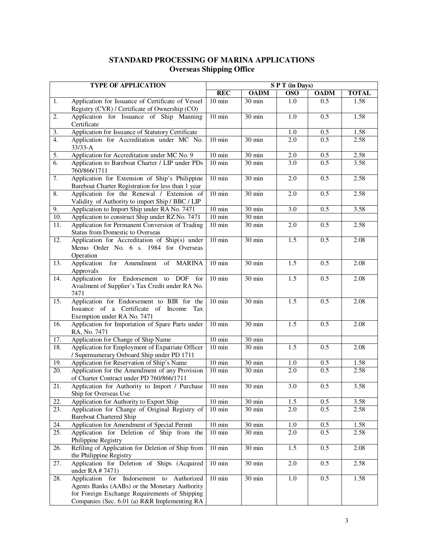## **STANDARD PROCESSING OF MARINA APPLICATIONS Overseas Shipping Office**

|                   | <b>TYPE OF APPLICATION</b>                                                                                                                                                                  | SPT (in Days)    |                  |                  |                  |              |
|-------------------|---------------------------------------------------------------------------------------------------------------------------------------------------------------------------------------------|------------------|------------------|------------------|------------------|--------------|
|                   |                                                                                                                                                                                             | <b>REC</b>       | <b>OADM</b>      | <b>OSO</b>       | <b>OADM</b>      | <b>TOTAL</b> |
| 1.                | Application for Issuance of Certificate of Vessel<br>Registry (CVR) / Certificate of Ownership (CO)                                                                                         | $10 \text{ min}$ | 30 min           | 1.0              | 0.5              | 1.58         |
| 2.                | Application for Issuance of Ship Manning<br>Certificate                                                                                                                                     | $10 \text{ min}$ | 30 min           | 1.0              | 0.5              | 1.58         |
| 3.                | Application for Issuance of Statutory Certificate                                                                                                                                           |                  |                  | 1.0              | 0.5              | 1.58         |
| 4.                | Application for Accreditation under MC No.<br>$33/33 - A$                                                                                                                                   | $10 \text{ min}$ | 30 min           | 2.0              | $\overline{0.5}$ | 2.58         |
| 5.                | Application for Accreditation under MC No. 9                                                                                                                                                | $10 \text{ min}$ | 30 min           | 2.0              | 0.5              | 2.58         |
| 6.                | Application to Bareboat Charter / LIP under PDs<br>760/866/1711                                                                                                                             | $10 \text{ min}$ | 30 min           | 3.0              | 0.5              | 3.58         |
| 7.                | Application for Extension of Ship's Philippine<br>Bareboat Charter Registration for less than 1 year                                                                                        | $10 \text{ min}$ | 30 min           | 2.0              | 0.5              | 2.58         |
| 8.                | Application for the Renewal / Extension of<br>Validity of Authority to import Ship / BBC / LIP                                                                                              | $10 \text{ min}$ | 30 min           | 2.0              | 0.5              | 2.58         |
| 9.                | Application to Import Ship under RA No. 7471                                                                                                                                                | $10 \text{ min}$ | 30 min           | 3.0              | 0.5              | 3.58         |
| 10.               | Application to construct Ship under RZ No. 7471                                                                                                                                             | $10 \text{ min}$ | 30 min           |                  |                  |              |
| 11.               | Application for Permanent Conversion of Trading<br><b>Status from Domestic to Overseas</b>                                                                                                  | $10 \text{ min}$ | 30 min           | 2.0              | 0.5              | 2.58         |
| $\overline{12}$ . | Application for Accreditation of Ship(s) under<br>Memo Order No. 6 s. 1984 for Overseas<br>Operation                                                                                        | $10 \text{ min}$ | $30 \text{ min}$ | $\overline{1.5}$ | 0.5              | 2.08         |
| 13.               | for Amendment of MARINA<br>Application<br>Approvals                                                                                                                                         | $10 \text{ min}$ | $30 \text{ min}$ | 1.5              | 0.5              | 2.08         |
| 14.               | for Endorsement to DOF<br>Application<br>for<br>Availment of Supplier's Tax Credit under RA No.<br>7471                                                                                     | $10 \text{ min}$ | 30 min           | $\overline{1.5}$ | 0.5              | 2.08         |
| 15.               | Application for Endorsement to BIR for the<br>Issuance of a Certificate of Income<br>Tax<br>Exemption under RA No. 7471                                                                     | $10 \text{ min}$ | 30 min           | 1.5              | 0.5              | 2.08         |
| 16.               | Application for Importation of Spare Parts under<br>RA, No. 7471                                                                                                                            | $10 \text{ min}$ | 30 min           | 1.5              | 0.5              | 2.08         |
| 17.               | Application for Change of Ship Name                                                                                                                                                         | $10 \text{ min}$ | 30 min           |                  |                  |              |
| 18.               | Application for Employment of Expatriate Officer<br>/ Supernumerary Onboard Ship under PD 1711                                                                                              | $10 \text{ min}$ | 30 min           | 1.5              | 0.5              | 2.08         |
| 19.               | Application for Reservation of Ship's Name                                                                                                                                                  | $10 \text{ min}$ | $30 \text{ min}$ | 1.0              | 0.5              | 1.58         |
| $\overline{20}$ . | Application for the Amendment of any Provision<br>of Charter Contract under PD 760/866/1711                                                                                                 | $10 \text{ min}$ | 30 min           | 2.0              | 0.5              | 2.58         |
| 21.               | Application for Authority to Import / Purchase<br>Ship for Overseas Use                                                                                                                     | $10 \text{ min}$ | 30 min           | 3.0              | 0.5              | 3.58         |
| 22.               | Application for Authority to Export Ship                                                                                                                                                    | $10 \text{ min}$ | 30 min           | 1.5              | 0.5              | 3.58         |
| 23.               | Application for Change of Original Registry of<br><b>Bareboat Chartered Ship</b>                                                                                                            | $10 \text{ min}$ | 30 min           | 2.0              | 0.5              | 2.58         |
| 24.               | Application for Amendment of Special Permit                                                                                                                                                 | $10 \text{ min}$ | 30 min           | 1.0              | 0.5              | 1.58         |
| 25.               | Application for Deletion of Ship from the<br>Philippine Registry                                                                                                                            | $10 \text{ min}$ | 30 min           | 2.0              | 0.5              | 2.58         |
| 26.               | Refiling of Application for Deletion of Ship from<br>the Philippine Registry                                                                                                                | $10 \text{ min}$ | 30 min           | 1.5              | 0.5              | 2.08         |
| 27.               | Application for Deletion of Ships (Acquired<br>under RA # 7471)                                                                                                                             | $10 \text{ min}$ | 30 min           | 2.0              | 0.5              | 2.58         |
| 28.               | Application for Indorsement to Authorized<br>Agents Banks (AABs) or the Monetary Authority<br>for Foreign Exchange Requirements of Shipping<br>Companies (Sec. 6.01 (a) R&R Implementing RA | $10 \text{ min}$ | 30 min           | $1.0\,$          | 0.5              | 1.58         |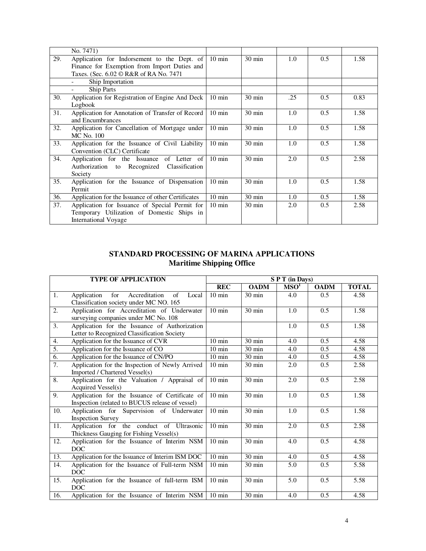|     | No. 7471)                                          |                  |                  |     |     |      |
|-----|----------------------------------------------------|------------------|------------------|-----|-----|------|
| 29. | Application for Indorsement to the Dept. of        | $10 \text{ min}$ | $30 \text{ min}$ | 1.0 | 0.5 | 1.58 |
|     | Finance for Exemption from Import Duties and       |                  |                  |     |     |      |
|     | Taxes. (Sec. 6.02 © R&R of RA No. 7471             |                  |                  |     |     |      |
|     | Ship Importation                                   |                  |                  |     |     |      |
|     | <b>Ship Parts</b>                                  |                  |                  |     |     |      |
| 30. | Application for Registration of Engine And Deck    | $10 \text{ min}$ | $30 \text{ min}$ | .25 | 0.5 | 0.83 |
|     | Logbook                                            |                  |                  |     |     |      |
| 31. | Application for Annotation of Transfer of Record   | $10 \text{ min}$ | $30 \text{ min}$ | 1.0 | 0.5 | 1.58 |
|     | and Encumbrances                                   |                  |                  |     |     |      |
| 32. | Application for Cancellation of Mortgage under     | $10 \text{ min}$ | $30 \text{ min}$ | 1.0 | 0.5 | 1.58 |
|     | MC No. 100                                         |                  |                  |     |     |      |
| 33. | Application for the Issuance of Civil Liability    | $10 \text{ min}$ | $30 \text{ min}$ | 1.0 | 0.5 | 1.58 |
|     | Convention (CLC) Certificate                       |                  |                  |     |     |      |
| 34. | Application for the Issuance of Letter of          | $10 \text{ min}$ | $30 \text{ min}$ | 2.0 | 0.5 | 2.58 |
|     | Authorization to Recognized Classification         |                  |                  |     |     |      |
|     | Society                                            |                  |                  |     |     |      |
| 35. | Application for the Issuance of Dispensation       | $10 \text{ min}$ | $30 \text{ min}$ | 1.0 | 0.5 | 1.58 |
|     | Permit                                             |                  |                  |     |     |      |
| 36. | Application for the Issuance of other Certificates | $10 \text{ min}$ | $30 \text{ min}$ | 1.0 | 0.5 | 1.58 |
| 37. | Application for Issuance of Special Permit for     | $10 \text{ min}$ | $30 \text{ min}$ | 2.0 | 0.5 | 2.58 |
|     | Temporary Utilization of Domestic Ships in         |                  |                  |     |     |      |
|     | <b>International Voyage</b>                        |                  |                  |     |     |      |

## **STANDARD PROCESSING OF MARINA APPLICATIONS Maritime Shipping Office**

|                  | <b>TYPE OF APPLICATION</b>                         | SPT (in Days)    |                  |                             |             |              |
|------------------|----------------------------------------------------|------------------|------------------|-----------------------------|-------------|--------------|
|                  |                                                    | <b>REC</b>       | <b>OADM</b>      | $\overline{\mathrm{MSO}}^1$ | <b>OADM</b> | <b>TOTAL</b> |
| 1.               | for<br>Accreditation<br>Application<br>of<br>Local | $10 \text{ min}$ | $30 \text{ min}$ | 4.0                         | 0.5         | 4.58         |
|                  | Classification society under MC NO. 165            |                  |                  |                             |             |              |
| 2.               | Application for Accreditation of Underwater        | $10 \text{ min}$ | $30 \text{ min}$ | 1.0                         | 0.5         | 1.58         |
|                  | surveying companies under MC No. 108               |                  |                  |                             |             |              |
| $\overline{3}$ . | Application for the Issuance of Authorization      |                  |                  | 1.0                         | 0.5         | 1.58         |
|                  | Letter to Recognized Classification Society        |                  |                  |                             |             |              |
| 4.               | Application for the Issuance of CVR                | $10 \text{ min}$ | 30 min           | 4.0                         | 0.5         | 4.58         |
| 5.               | Application for the Issuance of CO                 | $10 \text{ min}$ | $30 \text{ min}$ | 4.0                         | 0.5         | 4.58         |
| $\overline{6}$ . | Application for the Issuance of CN/PO              | $10 \text{ min}$ | 30 min           | 4.0                         | 0.5         | 4.58         |
| $\overline{7}$ . | Application for the Inspection of Newly Arrived    | $10 \text{ min}$ | 30 min           | 2.0                         | 0.5         | 2.58         |
|                  | Imported / Chartered Vessel(s)                     |                  |                  |                             |             |              |
| 8.               | Application for the Valuation / Appraisal of       | $10 \text{ min}$ | $30 \text{ min}$ | 2.0                         | 0.5         | 2.58         |
|                  | Acquired Vessel(s)                                 |                  |                  |                             |             |              |
| 9.               | Application for the Issuance of Certificate of     | $10 \text{ min}$ | 30 min           | 1.0                         | 0.5         | 1.58         |
|                  | Inspection (related to BUCUS release of vessel)    |                  |                  |                             |             |              |
| 10.              | Application for Supervision of Underwater          | $10 \text{ min}$ | $30 \text{ min}$ | 1.0                         | 0.5         | 1.58         |
|                  | <b>Inspection Survey</b>                           |                  |                  |                             |             |              |
| 11.              | Application for the conduct of Ultrasonic          | $10 \text{ min}$ | $30 \text{ min}$ | 2.0                         | 0.5         | 2.58         |
|                  | Thickness Gauging for Fishing Vessel(s)            |                  |                  |                             |             |              |
| 12.              | Application for the Issuance of Interim NSM        | $10 \text{ min}$ | 30 min           | 4.0                         | 0.5         | 4.58         |
|                  | <b>DOC</b>                                         |                  |                  |                             |             |              |
| 13.              | Application for the Issuance of Interim ISM DOC    | $10 \text{ min}$ | $30 \text{ min}$ | 4.0                         | 0.5         | 4.58         |
| 14.              | Application for the Issuance of Full-term NSM      | $10 \text{ min}$ | 30 min           | 5.0                         | 0.5         | 5.58         |
|                  | <b>DOC</b>                                         |                  |                  |                             |             |              |
| 15.              | Application for the Issuance of full-term ISM      | $10 \text{ min}$ | $30 \text{ min}$ | 5.0                         | 0.5         | 5.58         |
|                  | <b>DOC</b>                                         |                  |                  |                             |             |              |
| 16.              | Application for the Issuance of Interim NSM        | $10 \text{ min}$ | $30 \text{ min}$ | 4.0                         | 0.5         | 4.58         |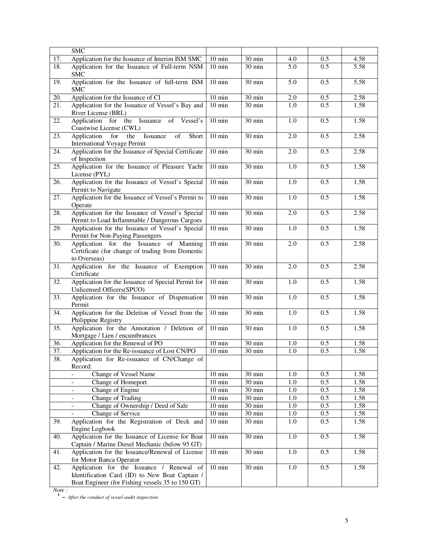|     | SMC                                                                                                         |                     |                     |         |     |      |
|-----|-------------------------------------------------------------------------------------------------------------|---------------------|---------------------|---------|-----|------|
| 17. | Application for the Issuance of Interim ISM SMC                                                             | $10 \text{ min}$    | $30 \text{ min}$    | 4.0     | 0.5 | 4.58 |
| 18. | Application for the Issuance of Full-term NSM<br><b>SMC</b>                                                 | $10 \text{ min}$    | 30 min              | 5.0     | 0.5 | 5.58 |
| 19. | Application for the Issuance of full-term ISM<br><b>SMC</b>                                                 | $10 \text{ min}$    | $30 \text{ min}$    | 5.0     | 0.5 | 5.58 |
| 20. | Application for the Issuance of CI                                                                          | $10 \text{ min}$    | 30 min              | 2.0     | 0.5 | 2.58 |
| 21. | Application for the Issuance of Vessel's Bay and                                                            | $10 \text{ min}$    | 30 min              | 1.0     | 0.5 | 1.58 |
|     | River License (BRL)                                                                                         |                     |                     |         |     |      |
| 22. | Application for the Issuance of Vessel's<br>Coastwise License (CWL)                                         | $10 \text{ min}$    | 30 min              | 1.0     | 0.5 | 1.58 |
| 23. | Application<br>for<br>the<br>Issuance<br>of<br>Short<br>International Voyage Permit                         | $10 \text{ min}$    | 30 min              | 2.0     | 0.5 | 2.58 |
| 24. | Application for the Issuance of Special Certificate<br>of Inspection                                        | $10 \text{ min}$    | 30 min              | 2.0     | 0.5 | 2.58 |
| 25. | Application for the Issuance of Pleasure Yacht<br>License (PYL)                                             | $10 \text{ min}$    | 30 min              | 1.0     | 0.5 | 1.58 |
| 26. | Application for the Issuance of Vessel's Special<br>Permit to Navigate                                      | $10 \text{ min}$    | $30 \text{ min}$    | 1.0     | 0.5 | 1.58 |
| 27. | Application for the Issuance of Vessel's Permit to<br>Operate                                               | $10 \text{ min}$    | $\overline{30}$ min | 1.0     | 0.5 | 1.58 |
| 28. | Application for the Issuance of Vessel's Special<br>Permit to Load Inflammable / Dangerous Cargoes          | $10 \text{ min}$    | 30 min              | 2.0     | 0.5 | 2.58 |
| 29. | Application for the Issuance of Vessel's Special<br>Permit for Non-Paying Passengers                        | $10 \text{ min}$    | 30 min              | 1.0     | 0.5 | 1.58 |
| 30. | Application for the Issuance of Manning<br>Certificate (for change of trading from Domestic<br>to Overseas) | $10 \text{ min}$    | 30 min              | 2.0     | 0.5 | 2.58 |
| 31. | Application for the Issuance of Exemption<br>Certificate                                                    | $10 \text{ min}$    | $30 \overline{min}$ | 2.0     | 0.5 | 2.58 |
| 32. | Application for the Issuance of Special Permit for<br>Unlicensed Officers(SPUO)                             | $10 \text{ min}$    | $30 \text{ min}$    | 1.0     | 0.5 | 1.58 |
| 33. | Application for the Issuance of Dispensation<br>Permit                                                      | $10 \text{ min}$    | 30 min              | 1.0     | 0.5 | 1.58 |
| 34. | Application for the Deletion of Vessel from the<br>Philippine Registry                                      | $10 \text{ min}$    | 30 min              | 1.0     | 0.5 | 1.58 |
| 35. | Application for the Annotation / Deletion of<br>Mortgage / Lien / encumbrances                              | $10 \text{ min}$    | 30 min              | 1.0     | 0.5 | 1.58 |
| 36. | Application for the Renewal of PO                                                                           | $10 \text{ min}$    | 30 min              | 1.0     | 0.5 | 1.58 |
| 37. | Application for the Re-issuance of Lost CN/PO                                                               | $10 \text{ min}$    | 30 min              | 1.0     | 0.5 | 1.58 |
| 38. | Application for Re-issuance of CN/Change of<br>Record:                                                      |                     |                     |         |     |      |
|     | Change of Vessel Name                                                                                       | $\overline{10}$ min | 30 min              | $1.0\,$ | 0.5 | 1.58 |
|     | Change of Homeport<br>$\frac{1}{2}$                                                                         | $10 \text{ min}$    | 30 min              | 1.0     | 0.5 | 1.58 |
|     | Change of Engine<br>$\overline{\phantom{a}}$                                                                | $10 \text{ min}$    | 30 min              | 1.0     | 0.5 | 1.58 |
|     | Change of Trading<br>$\overline{\phantom{a}}$                                                               | $10 \text{ min}$    | 30 min              | 1.0     | 0.5 | 1.58 |
|     | Change of Ownership / Deed of Sale<br>$\qquad \qquad \blacksquare$                                          | $10 \text{ min}$    | 30 min              | 1.0     | 0.5 | 1.58 |
|     | Change of Service                                                                                           | $10 \text{ min}$    | 30 min              | $1.0\,$ | 0.5 | 1.58 |
| 39. | Application for the Registration of Deck and<br>Engine Logbook                                              | $10 \text{ min}$    | $30 \text{ min}$    | 1.0     | 0.5 | 1.58 |
| 40. | Application for the Issuance of License for Boat<br>Captain / Marine Diesel Mechanic (below 95 GT)          | $10 \text{ min}$    | 30 min              | 1.0     | 0.5 | 1.58 |
| 41. | Application for the Issuance/Renewal of License<br>for Motor Banca Operator                                 | $10 \text{ min}$    | 30 min              | 1.0     | 0.5 | 1.58 |
| 42. | Application for the Issuance / Renewal of<br>Identification Card (ID) to New Boat Captain /                 | $10 \text{ min}$    | 30 min              | 1.0     | 0.5 | 1.58 |
|     | Boat Engineer (for Fishing vessels 35 to 150 GT)                                                            |                     |                     |         |     |      |

*Note :* 

 **1 –** *After the conduct of vessel audit inspection*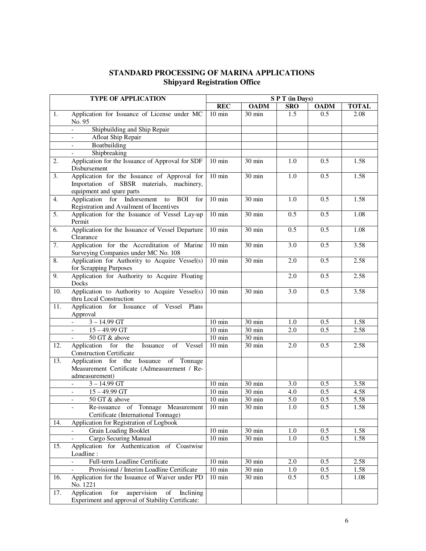## **STANDARD PROCESSING OF MARINA APPLICATIONS Shipyard Registration Office**

|     | <b>TYPE OF APPLICATION</b>                                                                                             | SPT (in Days)       |                  |                  |             |              |  |  |
|-----|------------------------------------------------------------------------------------------------------------------------|---------------------|------------------|------------------|-------------|--------------|--|--|
|     |                                                                                                                        | <b>REC</b>          | <b>OADM</b>      | <b>SRO</b>       | <b>OADM</b> | <b>TOTAL</b> |  |  |
| 1.  | Application for Issuance of License under MC<br>No. 95                                                                 | $10 \text{ min}$    | $30 \text{ min}$ | 1.5              | 0.5         | 2.08         |  |  |
|     | Shipbuilding and Ship Repair<br>$\overline{a}$                                                                         |                     |                  |                  |             |              |  |  |
|     | Afloat Ship Repair                                                                                                     |                     |                  |                  |             |              |  |  |
|     | Boatbuilding                                                                                                           |                     |                  |                  |             |              |  |  |
|     | Shipbreaking                                                                                                           |                     |                  |                  |             |              |  |  |
| 2.  | Application for the Issuance of Approval for SDF<br>Disbursement                                                       | $10 \text{ min}$    | 30 min           | 1.0              | 0.5         | 1.58         |  |  |
| 3.  | Application for the Issuance of Approval for<br>Importation of SBSR materials, machinery,<br>equipment and spare parts | $10 \text{ min}$    | 30 min           | 1.0              | 0.5         | 1.58         |  |  |
| 4.  | Application for Indorsement to BOI for<br>Registration and Availment of Incentives                                     | $10 \text{ min}$    | 30 min           | 1.0              | 0.5         | 1.58         |  |  |
| 5.  | Application for the Issuance of Vessel Lay-up<br>Permit                                                                | $10 \text{ min}$    | $30 \text{ min}$ | 0.5              | 0.5         | 1.08         |  |  |
| 6.  | Application for the Issuance of Vessel Departure<br>Clearance                                                          | $10 \text{ min}$    | 30 min           | 0.5              | 0.5         | 1.08         |  |  |
| 7.  | Application for the Accreditation of Marine<br>Surveying Companies under MC No. 108                                    | $10 \text{ min}$    | 30 min           | $\overline{3.0}$ | 0.5         | 3.58         |  |  |
| 8.  | Application for Authority to Acquire Vessel(s)<br>for Scrapping Purposes                                               | $10 \text{ min}$    | 30 min           | 2.0              | 0.5         | 2.58         |  |  |
| 9.  | Application for Authority to Acquire Floating<br>Docks                                                                 |                     |                  | 2.0              | 0.5         | 2.58         |  |  |
| 10. | Application to Authority to Acquire Vessel(s)<br>thru Local Construction                                               | $10 \text{ min}$    | $30 \text{ min}$ | 3.0              | 0.5         | 3.58         |  |  |
| 11. | Application for Issuance of Vessel<br>Plans<br>Approval                                                                |                     |                  |                  |             |              |  |  |
|     | $3 - 14.99$ GT                                                                                                         | $10 \text{ min}$    | $30 \text{ min}$ | 1.0              | 0.5         | 1.58         |  |  |
|     | $15 - 49.99$ GT                                                                                                        | $10 \text{ min}$    | 30 min           | 2.0              | 0.5         | 2.58         |  |  |
|     | 50 GT & above                                                                                                          | $10 \text{ min}$    | 30 min           |                  |             |              |  |  |
| 12. | Application for the<br>Issuance<br>of<br>Vessel<br><b>Construction Certificate</b>                                     | $10 \text{ min}$    | 30 min           | 2.0              | 0.5         | 2.58         |  |  |
| 13. | Application for the Issuance of Tonnage<br>Measurement Certificate (Admeasurement / Re-<br>admeasurement)              |                     |                  |                  |             |              |  |  |
|     | $3 - 14.99$ GT                                                                                                         | $10 \text{ min}$    | 30 min           | 3.0              | 0.5         | 3.58         |  |  |
|     | $15 - 49.99$ GT                                                                                                        | $10 \text{ min}$    | 30 min           | 4.0              | 0.5         | 4.58         |  |  |
|     | 50 GT & above<br>$\qquad \qquad -$                                                                                     | $10 \text{ min}$    | 30 min           | 5.0              | 0.5         | 5.58         |  |  |
|     | Re-issuance of Tonnage Measurement 10 min<br>Certificate (International Tonnage)                                       |                     | $30 \text{ min}$ | 1.0              | 0.5         | 1.58         |  |  |
| 14. | Application for Registration of Logbook                                                                                |                     |                  |                  |             |              |  |  |
|     | Grain Loading Booklet                                                                                                  | $10 \text{ min}$    | 30 min           | 1.0              | 0.5         | 1.58         |  |  |
|     | Cargo Securing Manual                                                                                                  | $10 \text{ min}$    | 30 min           | 1.0              | 0.5         | 1.58         |  |  |
| 15. | Application for Authentication of Coastwise<br>Loadline:                                                               |                     |                  |                  |             |              |  |  |
|     | Full-term Loadline Certificate                                                                                         | $\overline{10}$ min | 30 min           | 2.0              | 0.5         | 2.58         |  |  |
|     | Provisional / Interim Loadline Certificate                                                                             | $\overline{10}$ min | 30 min           | 1.0              | 0.5         | 1.58         |  |  |
| 16. | Application for the Issuance of Waiver under PD<br>No. 1221                                                            | $10 \text{ min}$    | 30 min           | 0.5              | 0.5         | 1.08         |  |  |
| 17. | aupervision<br>Application<br>for<br>of<br>Inclining<br>Experiment and approval of Stability Certificate:              |                     |                  |                  |             |              |  |  |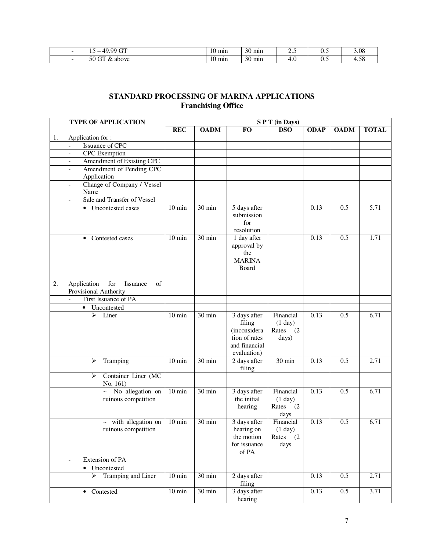| $\sim$<br>00<br>$\sim$<br>$\Lambda$ | mın<br>1V.         | $\sim$<br>mın<br>3U | ر   | ◡…                            | 3.08                |
|-------------------------------------|--------------------|---------------------|-----|-------------------------------|---------------------|
| - -<br>$\sim$<br>above<br>Æ.<br>υc  | $\sim$<br>mın<br>. | $\sim$<br>mın<br>30 | ᠇.៴ | $\mathbf{v} \cdot \mathbf{v}$ | $\epsilon$<br>1. JO |

## **STANDARD PROCESSING OF MARINA APPLICATIONS Franchising Office**

| <b>TYPE OF APPLICATION</b>                                          | SPT (in Days)    |                  |                                                                                         |                                                     |             |             |              |
|---------------------------------------------------------------------|------------------|------------------|-----------------------------------------------------------------------------------------|-----------------------------------------------------|-------------|-------------|--------------|
|                                                                     | <b>REC</b>       | <b>OADM</b>      | <b>FO</b>                                                                               | <b>DSO</b>                                          | <b>ODAP</b> | <b>OADM</b> | <b>TOTAL</b> |
| Application for:<br>1.                                              |                  |                  |                                                                                         |                                                     |             |             |              |
| Issuance of CPC                                                     |                  |                  |                                                                                         |                                                     |             |             |              |
| <b>CPC</b> Exemption<br>$\overline{a}$                              |                  |                  |                                                                                         |                                                     |             |             |              |
| Amendment of Existing CPC<br>$\overline{\phantom{a}}$               |                  |                  |                                                                                         |                                                     |             |             |              |
| Amendment of Pending CPC<br>$\overline{\phantom{a}}$<br>Application |                  |                  |                                                                                         |                                                     |             |             |              |
| Change of Company / Vessel<br>$\qquad \qquad -$                     |                  |                  |                                                                                         |                                                     |             |             |              |
| Name                                                                |                  |                  |                                                                                         |                                                     |             |             |              |
| Sale and Transfer of Vessel                                         |                  |                  |                                                                                         |                                                     |             |             |              |
| • Uncontested cases                                                 | $10 \text{ min}$ | 30 min           | 5 days after<br>submission<br>for<br>resolution                                         |                                                     | 0.13        | 0.5         | 5.71         |
| Contested cases<br>$\bullet$                                        | $10 \text{ min}$ | 30 min           | 1 day after<br>approval by<br>the<br><b>MARINA</b><br>Board                             |                                                     | 0.13        | 0.5         | 1.71         |
|                                                                     |                  |                  |                                                                                         |                                                     |             |             |              |
| Application<br>for<br>2.<br>of<br>Issuance<br>Provisional Authority |                  |                  |                                                                                         |                                                     |             |             |              |
| First Issuance of PA<br>$\mathbb{L}$                                |                  |                  |                                                                                         |                                                     |             |             |              |
| Uncontested<br>$\bullet$                                            |                  |                  |                                                                                         |                                                     |             |             |              |
| $\overline{\triangleright}$ Liner                                   | $10 \text{ min}$ | $30 \text{ min}$ | 3 days after<br>filing<br>(inconsidera<br>tion of rates<br>and financial<br>evaluation) | Financial<br>(1 day)<br>Rates (2<br>days)           | 0.13        | 0.5         | 6.71         |
| Tramping<br>➤                                                       | $10 \text{ min}$ | 30 min           | $\overline{2}$ days after<br>filing                                                     | 30 min                                              | 0.13        | 0.5         | 2.71         |
| Container Liner (MC<br>≻<br>No. 161)                                |                  |                  |                                                                                         |                                                     |             |             |              |
| $\sim$ No allegation on<br>ruinous competition                      | $10 \text{ min}$ | 30 min           | 3 days after<br>the initial<br>hearing                                                  | Financial<br>$(1$ day $)$<br>Rates (2)<br>days      | 0.13        | 0.5         | 6.71         |
| ~ with allegation on<br>ruinous competition                         | $10 \text{ min}$ | 30 min           | 3 days after<br>hearing on<br>the motion<br>for issuance<br>of PA                       | Financial<br>$(1 \text{ day})$<br>Rates (2)<br>days | 0.13        | 0.5         | 6.71         |
| Extension of PA<br>$\overline{\phantom{a}}$                         |                  |                  |                                                                                         |                                                     |             |             |              |
| • Uncontested                                                       |                  |                  |                                                                                         |                                                     |             |             |              |
| $\triangleright$ Tramping and Liner                                 | $10 \text{ min}$ | 30 min           | 2 days after<br>filing                                                                  |                                                     | 0.13        | 0.5         | 2.71         |
| Contested<br>$\bullet$                                              | $10 \text{ min}$ | 30 min           | 3 days after<br>hearing                                                                 |                                                     | 0.13        | 0.5         | 3.71         |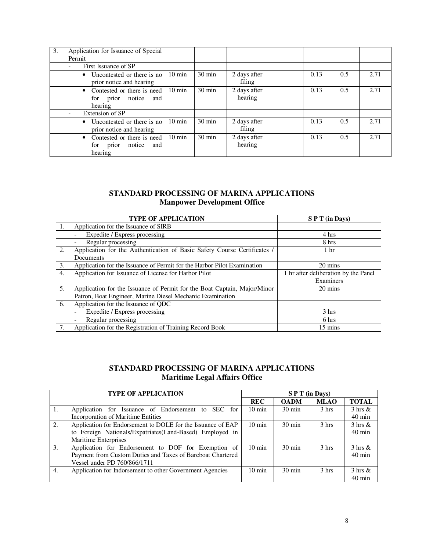| 3. | Application for Issuance of Special<br>Permit                                    |                  |                  |                         |      |     |      |
|----|----------------------------------------------------------------------------------|------------------|------------------|-------------------------|------|-----|------|
|    | First Issuance of SP<br>۰                                                        |                  |                  |                         |      |     |      |
|    | Uncontested or there is no<br>$\bullet$<br>prior notice and hearing              | $10 \text{ min}$ | $30 \text{ min}$ | 2 days after<br>filing  | 0.13 | 0.5 | 2.71 |
|    | Contested or there is need<br>$\bullet$<br>notice and<br>prior<br>for<br>hearing | $10 \text{ min}$ | $30 \text{ min}$ | 2 days after<br>hearing | 0.13 | 0.5 | 2.71 |
|    | Extension of SP                                                                  |                  |                  |                         |      |     |      |
|    | • Uncontested or there is no<br>prior notice and hearing                         | $10 \text{ min}$ | $30 \text{ min}$ | 2 days after<br>filing  | 0.13 | 0.5 | 2.71 |
|    | • Contested or there is need<br>notice<br>and<br>for<br>prior<br>hearing         | $10 \text{ min}$ | $30 \text{ min}$ | 2 days after<br>hearing | 0.13 | 0.5 | 2.71 |

## **STANDARD PROCESSING OF MARINA APPLICATIONS Manpower Development Office**

|                  | <b>TYPE OF APPLICATION</b>                                               | S P T (in Days)                      |
|------------------|--------------------------------------------------------------------------|--------------------------------------|
| 1.               | Application for the Issuance of SIRB                                     |                                      |
|                  | Expedite / Express processing                                            | 4 hrs                                |
|                  | Regular processing<br>$\overline{\phantom{a}}$                           | 8 hrs                                |
| 2.               | Application for the Authentication of Basic Safety Course Certificates / | 1 <sub>hr</sub>                      |
|                  | Documents                                                                |                                      |
| 3.               | Application for the Issuance of Permit for the Harbor Pilot Examination  | 20 mins                              |
| $\overline{4}$ . | Application for Issuance of License for Harbor Pilot                     | 1 hr after deliberation by the Panel |
|                  |                                                                          | Examiners                            |
| 5.               | Application for the Issuance of Permit for the Boat Captain, Major/Minor | 20 mins                              |
|                  | Patron, Boat Engineer, Marine Diesel Mechanic Examination                |                                      |
| 6.               | Application for the Issuance of QDC                                      |                                      |
|                  | Expedite / Express processing<br>$\overline{\phantom{a}}$                | 3 hrs                                |
|                  | Regular processing<br>$\overline{\phantom{a}}$                           | 6 hrs                                |
|                  | Application for the Registration of Training Record Book                 | $15 \text{ mins}$                    |

## **STANDARD PROCESSING OF MARINA APPLICATIONS Maritime Legal Affairs Office**

|    | <b>TYPE OF APPLICATION</b>                                  |                  |                  | S P T (in Days)  |                    |
|----|-------------------------------------------------------------|------------------|------------------|------------------|--------------------|
|    |                                                             | <b>REC</b>       | <b>OADM</b>      | <b>MLAO</b>      | <b>TOTAL</b>       |
| 1. | Application for Issuance of Endorsement to SEC for          | $10 \text{ min}$ | $30 \text{ min}$ | 3 <sub>hrs</sub> | $3 \text{ hrs} \&$ |
|    | <b>Incorporation of Maritime Entities</b>                   |                  |                  |                  | $40 \text{ min}$   |
| 2. | Application for Endorsement to DOLE for the Issuance of EAP | $10 \text{ min}$ | $30 \text{ min}$ | 3 <sub>hrs</sub> | $3 \text{ hrs} \&$ |
|    | to Foreign Nationals/Expatriates(Land-Based) Employed in    |                  |                  |                  | $40 \text{ min}$   |
|    | <b>Maritime Enterprises</b>                                 |                  |                  |                  |                    |
| 3. | Application for Endorsement to DOF for Exemption of         | $10 \text{ min}$ | $30 \text{ min}$ | 3 <sub>hrs</sub> | $3 \text{ hrs} \&$ |
|    | Payment from Custom Duties and Taxes of Bareboat Chartered  |                  |                  |                  | $40 \text{ min}$   |
|    | Vessel under PD 760/866/1711                                |                  |                  |                  |                    |
| 4. | Application for Indorsement to other Government Agencies    | $10 \text{ min}$ | $30 \text{ min}$ | 3 <sub>hrs</sub> | $3 \text{ hrs} \&$ |
|    |                                                             |                  |                  |                  | $40 \text{ min}$   |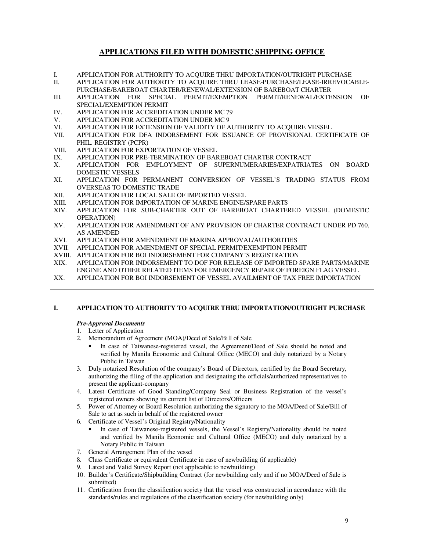## **APPLICATIONS FILED WITH DOMESTIC SHIPPING OFFICE**

I. APPLICATION FOR AUTHORITY TO ACQUIRE THRU IMPORTATION/OUTRIGHT PURCHASE

II. APPLICATION FOR AUTHORITY TO ACQUIRE THRU LEASE-PURCHASE/LEASE-IRREVOCABLE-PURCHASE/BAREBOAT CHARTER/RENEWAL/EXTENSION OF BAREBOAT CHARTER

- III. APPLICATION FOR SPECIAL PERMIT/EXEMPTION PERMIT/RENEWAL/EXTENSION OF SPECIAL/EXEMPTION PERMIT
- IV. APPLICATION FOR ACCREDITATION UNDER MC 79
- V. APPLICATION FOR ACCREDITATION UNDER MC 9<br>VI. APPLICATION FOR EXTENSION OF VALIDITY OF A
- VI. APPLICATION FOR EXTENSION OF VALIDITY OF AUTHORITY TO ACQUIRE VESSEL<br>VII. APPLICATION FOR DFA INDORSEMENT FOR ISSUANCE OF PROVISIONAL CERT
- APPLICATION FOR DFA INDORSEMENT FOR ISSUANCE OF PROVISIONAL CERTIFICATE OF PHIL. REGISTRY (PCPR)
- VIII. APPLICATION FOR EXPORTATION OF VESSEL
- IX. APPLICATION FOR PRE-TERMINATION OF BAREBOAT CHARTER CONTRACT
- X. APPLICATION FOR EMPLOYMENT OF SUPERNUMERARIES/EXPATRIATES ON BOARD DOMESTIC VESSELS
- XI. APPLICATION FOR PERMANENT CONVERSION OF VESSEL'S TRADING STATUS FROM OVERSEAS TO DOMESTIC TRADE
- XII. APPLICATION FOR LOCAL SALE OF IMPORTED VESSEL<br>XIII. APPLICATION FOR IMPORTATION OF MARINE ENGINE/
- XIII. APPLICATION FOR IMPORTATION OF MARINE ENGINE/SPARE PARTS
- APPLICATION FOR SUB-CHARTER OUT OF BAREBOAT CHARTERED VESSEL (DOMESTIC OPERATION)
- XV. APPLICATION FOR AMENDMENT OF ANY PROVISION OF CHARTER CONTRACT UNDER PD 760, AS AMENDED
- XVI. APPLICATION FOR AMENDMENT OF MARINA APPROVAL/AUTHORITIES
- XVII. APPLICATION FOR AMENDMENT OF SPECIAL PERMIT/EXEMPTION PERMIT
- XVIII. APPLICATION FOR BOI INDORSEMENT FOR COMPANY'S REGISTRATION
- XIX. APPLICATION FOR INDORSEMENT TO DOF FOR RELEASE OF IMPORTED SPARE PARTS/MARINE ENGINE AND OTHER RELATED ITEMS FOR EMERGENCY REPAIR OF FOREIGN FLAG VESSEL
- XX. APPLICATION FOR BOI INDORSEMENT OF VESSEL AVAILMENT OF TAX FREE IMPORTATION

### **I. APPLICATION TO AUTHORITY TO ACQUIRE THRU IMPORTATION/OUTRIGHT PURCHASE**

### *Pre-Approval Documents*

## 1. Letter of Application

- 2. Memorandum of Agreement (MOA)/Deed of Sale/Bill of Sale
	- In case of Taiwanese-registered vessel, the Agreement/Deed of Sale should be noted and verified by Manila Economic and Cultural Office (MECO) and duly notarized by a Notary Public in Taiwan
- 3. Duly notarized Resolution of the company's Board of Directors, certified by the Board Secretary, authorizing the filing of the application and designating the officials/authorized representatives to present the applicant-company
- 4. Latest Certificate of Good Standing/Company Seal or Business Registration of the vessel's registered owners showing its current list of Directors/Officers
- 5. Power of Attorney or Board Resolution authorizing the signatory to the MOA/Deed of Sale/Bill of Sale to act as such in behalf of the registered owner
- 6. Certificate of Vessel's Original Registry/Nationality
	- In case of Taiwanese-registered vessels, the Vessel's Registry/Nationality should be noted and verified by Manila Economic and Cultural Office (MECO) and duly notarized by a Notary Public in Taiwan
- 7. General Arrangement Plan of the vessel
- 8. Class Certificate or equivalent Certificate in case of newbuilding (if applicable)
- 9. Latest and Valid Survey Report (not applicable to newbuilding)
- 10. Builder's Certificate/Shipbuilding Contract (for newbuilding only and if no MOA/Deed of Sale is submitted)
- 11. Certification from the classification society that the vessel was constructed in accordance with the standards/rules and regulations of the classification society (for newbuilding only)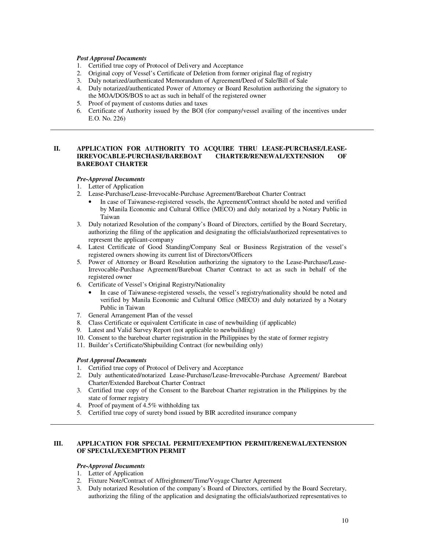#### *Post Approval Documents*

- 1. Certified true copy of Protocol of Delivery and Acceptance
- 2. Original copy of Vessel's Certificate of Deletion from former original flag of registry
- 3. Duly notarized/authenticated Memorandum of Agreement/Deed of Sale/Bill of Sale
- 4. Duly notarized/authenticated Power of Attorney or Board Resolution authorizing the signatory to the MOA/DOS/BOS to act as such in behalf of the registered owner
- 5. Proof of payment of customs duties and taxes
- 6. Certificate of Authority issued by the BOI (for company/vessel availing of the incentives under E.O. No. 226)

#### **II. APPLICATION FOR AUTHORITY TO ACQUIRE THRU LEASE-PURCHASE/LEASE-<br>IRREVOCABLE-PURCHASE/BAREBOAT CHARTER/RENEWAL/EXTENSION OF IRREVOCABLE-PURCHASE/BAREBOAT CHARTER/RENEWAL/EXTENSION OF BAREBOAT CHARTER**

#### *Pre-Approval Documents*

- 1. Letter of Application
- 2. Lease-Purchase/Lease-Irrevocable-Purchase Agreement/Bareboat Charter Contract
	- In case of Taiwanese-registered vessels, the Agreement/Contract should be noted and verified by Manila Economic and Cultural Office (MECO) and duly notarized by a Notary Public in Taiwan
- 3. Duly notarized Resolution of the company's Board of Directors, certified by the Board Secretary, authorizing the filing of the application and designating the officials/authorized representatives to represent the applicant-company
- 4. Latest Certificate of Good Standing/Company Seal or Business Registration of the vessel's registered owners showing its current list of Directors/Officers
- 5. Power of Attorney or Board Resolution authorizing the signatory to the Lease-Purchase/Lease-Irrevocable-Purchase Agreement/Bareboat Charter Contract to act as such in behalf of the registered owner
- 6. Certificate of Vessel's Original Registry/Nationality
	- In case of Taiwanese-registered vessels, the vessel's registry/nationality should be noted and verified by Manila Economic and Cultural Office (MECO) and duly notarized by a Notary Public in Taiwan
- 7. General Arrangement Plan of the vessel
- 8. Class Certificate or equivalent Certificate in case of newbuilding (if applicable)
- 9. Latest and Valid Survey Report (not applicable to newbuilding)
- 10. Consent to the bareboat charter registration in the Philippines by the state of former registry
- 11. Builder's Certificate/Shipbuilding Contract (for newbuilding only)

#### *Post Approval Documents*

- 1. Certified true copy of Protocol of Delivery and Acceptance
- 2. Duly authenticated/notarized Lease-Purchase/Lease-Irrevocable-Purchase Agreement/ Bareboat Charter/Extended Bareboat Charter Contract
- 3. Certified true copy of the Consent to the Bareboat Charter registration in the Philippines by the state of former registry
- 4. Proof of payment of 4.5% withholding tax
- 5. Certified true copy of surety bond issued by BIR accredited insurance company

### **III. APPLICATION FOR SPECIAL PERMIT/EXEMPTION PERMIT/RENEWAL/EXTENSION OF SPECIAL/EXEMPTION PERMIT**

### *Pre-Approval Documents*

- 1. Letter of Application
- 2. Fixture Note/Contract of Affreightment/Time/Voyage Charter Agreement
- 3. Duly notarized Resolution of the company's Board of Directors, certified by the Board Secretary, authorizing the filing of the application and designating the officials/authorized representatives to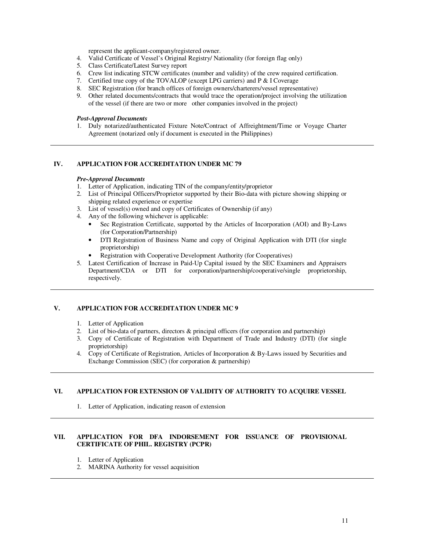represent the applicant-company/registered owner.

- 4. Valid Certificate of Vessel's Original Registry/ Nationality (for foreign flag only)
- 5. Class Certificate/Latest Survey report
- 6. Crew list indicating STCW certificates (number and validity) of the crew required certification.
- 7. Certified true copy of the TOVALOP (except LPG carriers) and P & I Coverage
- 8. SEC Registration (for branch offices of foreign owners/charterers/vessel representative)
- 9. Other related documents/contracts that would trace the operation/project involving the utilization of the vessel (if there are two or more other companies involved in the project)

### *Post-Approval Documents*

1. Duly notarized/authenticated Fixture Note/Contract of Affreightment/Time or Voyage Charter Agreement (notarized only if document is executed in the Philippines)

#### **IV. APPLICATION FOR ACCREDITATION UNDER MC 79**

#### *Pre-Approval Documents*

- 1. Letter of Application, indicating TIN of the company/entity/proprietor
- 2. List of Principal Officers/Proprietor supported by their Bio-data with picture showing shipping or shipping related experience or expertise
- 3. List of vessel(s) owned and copy of Certificates of Ownership (if any)
- 4. Any of the following whichever is applicable:
	- Sec Registration Certificate, supported by the Articles of Incorporation (AOI) and By-Laws (for Corporation/Partnership)
	- DTI Registration of Business Name and copy of Original Application with DTI (for single proprietorship)
	- Registration with Cooperative Development Authority (for Cooperatives)
- 5. Latest Certification of Increase in Paid-Up Capital issued by the SEC Examiners and Appraisers Department/CDA or DTI for corporation/partnership/cooperative/single proprietorship, respectively.

### **V. APPLICATION FOR ACCREDITATION UNDER MC 9**

- 1. Letter of Application
- 2. List of bio-data of partners, directors & principal officers (for corporation and partnership)
- 3. Copy of Certificate of Registration with Department of Trade and Industry (DTI) (for single proprietorship)
- 4. Copy of Certificate of Registration, Articles of Incorporation & By-Laws issued by Securities and Exchange Commission (SEC) (for corporation & partnership)

#### **VI. APPLICATION FOR EXTENSION OF VALIDITY OF AUTHORITY TO ACQUIRE VESSEL**

1. Letter of Application, indicating reason of extension

### **VII. APPLICATION FOR DFA INDORSEMENT FOR ISSUANCE OF PROVISIONAL CERTIFICATE OF PHIL. REGISTRY (PCPR)**

- 1. Letter of Application
- 2. MARINA Authority for vessel acquisition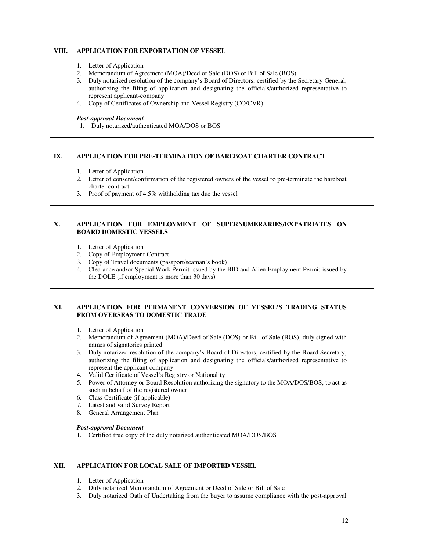### **VIII. APPLICATION FOR EXPORTATION OF VESSEL**

- 1. Letter of Application
- 2. Memorandum of Agreement (MOA)/Deed of Sale (DOS) or Bill of Sale (BOS)
- 3. Duly notarized resolution of the company's Board of Directors, certified by the Secretary General, authorizing the filing of application and designating the officials/authorized representative to represent applicant-company
- 4. Copy of Certificates of Ownership and Vessel Registry (CO/CVR)

#### *Post-approval Document*

1. Duly notarized/authenticated MOA/DOS or BOS

#### **IX. APPLICATION FOR PRE-TERMINATION OF BAREBOAT CHARTER CONTRACT**

- 1. Letter of Application
- 2. Letter of consent/confirmation of the registered owners of the vessel to pre-terminate the bareboat charter contract
- 3. Proof of payment of 4.5% withholding tax due the vessel

### **X. APPLICATION FOR EMPLOYMENT OF SUPERNUMERARIES/EXPATRIATES ON BOARD DOMESTIC VESSELS**

- 1. Letter of Application
- 2. Copy of Employment Contract
- 3. Copy of Travel documents (passport/seaman's book)
- 4. Clearance and/or Special Work Permit issued by the BID and Alien Employment Permit issued by the DOLE (if employment is more than 30 days)

### **XI. APPLICATION FOR PERMANENT CONVERSION OF VESSEL'S TRADING STATUS FROM OVERSEAS TO DOMESTIC TRADE**

- 1. Letter of Application
- 2. Memorandum of Agreement (MOA)/Deed of Sale (DOS) or Bill of Sale (BOS), duly signed with names of signatories printed
- 3. Duly notarized resolution of the company's Board of Directors, certified by the Board Secretary, authorizing the filing of application and designating the officials/authorized representative to represent the applicant company
- 4. Valid Certificate of Vessel's Registry or Nationality
- 5. Power of Attorney or Board Resolution authorizing the signatory to the MOA/DOS/BOS, to act as such in behalf of the registered owner
- 6. Class Certificate (if applicable)
- 7. Latest and valid Survey Report
- 8. General Arrangement Plan

#### *Post-approval Document*

1. Certified true copy of the duly notarized authenticated MOA/DOS/BOS

#### **XII. APPLICATION FOR LOCAL SALE OF IMPORTED VESSEL**

- 1. Letter of Application
- 2. Duly notarized Memorandum of Agreement or Deed of Sale or Bill of Sale
- 3. Duly notarized Oath of Undertaking from the buyer to assume compliance with the post-approval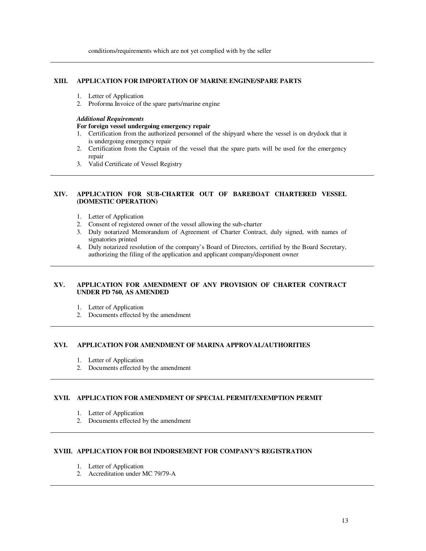#### **XIII. APPLICATION FOR IMPORTATION OF MARINE ENGINE/SPARE PARTS**

- 1. Letter of Application
- 2. Proforma Invoice of the spare parts/marine engine

#### *Additional Requirements*

#### **For foreign vessel undergoing emergency repair**

- 1. Certification from the authorized personnel of the shipyard where the vessel is on drydock that it is undergoing emergency repair
- 2. Certification from the Captain of the vessel that the spare parts will be used for the emergency repair
- 3. Valid Certificate of Vessel Registry

### **XIV. APPLICATION FOR SUB-CHARTER OUT OF BAREBOAT CHARTERED VESSEL (DOMESTIC OPERATION)**

- 1. Letter of Application
- 2. Consent of registered owner of the vessel allowing the sub-charter
- 3. Duly notarized Memorandum of Agreement of Charter Contract, duly signed, with names of signatories printed
- 4. Duly notarized resolution of the company's Board of Directors, certified by the Board Secretary, authorizing the filing of the application and applicant company/disponent owner

### **XV. APPLICATION FOR AMENDMENT OF ANY PROVISION OF CHARTER CONTRACT UNDER PD 760, AS AMENDED**

- 1. Letter of Application
- 2. Documents effected by the amendment

### **XVI. APPLICATION FOR AMENDMENT OF MARINA APPROVAL/AUTHORITIES**

- 1. Letter of Application
- 2. Documents effected by the amendment

### **XVII. APPLICATION FOR AMENDMENT OF SPECIAL PERMIT/EXEMPTION PERMIT**

- 1. Letter of Application
- 2. Documents effected by the amendment

### **XVIII. APPLICATION FOR BOI INDORSEMENT FOR COMPANY'S REGISTRATION**

- 1. Letter of Application
- 2. Accreditation under MC 79/79-A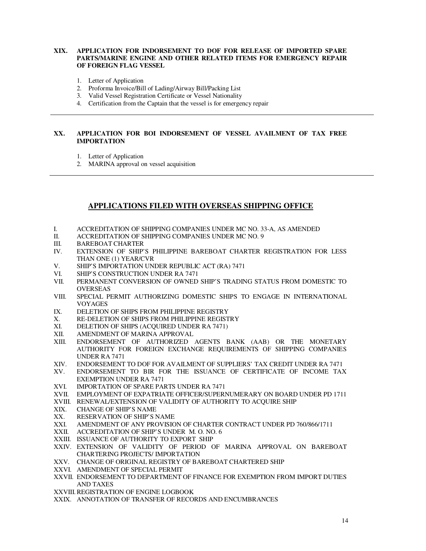### **XIX. APPLICATION FOR INDORSEMENT TO DOF FOR RELEASE OF IMPORTED SPARE PARTS/MARINE ENGINE AND OTHER RELATED ITEMS FOR EMERGENCY REPAIR OF FOREIGN FLAG VESSEL**

- 1. Letter of Application
- 2. Proforma Invoice/Bill of Lading/Airway Bill/Packing List
- 3. Valid Vessel Registration Certificate or Vessel Nationality
- 4. Certification from the Captain that the vessel is for emergency repair

### **XX. APPLICATION FOR BOI INDORSEMENT OF VESSEL AVAILMENT OF TAX FREE IMPORTATION**

- 1. Letter of Application
- 2. MARINA approval on vessel acquisition

### **APPLICATIONS FILED WITH OVERSEAS SHIPPING OFFICE**

- I. ACCREDITATION OF SHIPPING COMPANIES UNDER MC NO. 33-A, AS AMENDED
- II. ACCREDITATION OF SHIPPING COMPANIES UNDER MC NO. 9
- III. BAREBOAT CHARTER
- IV. EXTENSION OF SHIP'S PHILIPPINE BAREBOAT CHARTER REGISTRATION FOR LESS THAN ONE (1) YEAR/CVR
- V. SHIP'S IMPORTATION UNDER REPUBLIC ACT (RA) 7471
- VI. SHIP'S CONSTRUCTION UNDER RA 7471
- VII. PERMANENT CONVERSION OF OWNED SHIP'S TRADING STATUS FROM DOMESTIC TO **OVERSEAS**
- VIII. SPECIAL PERMIT AUTHORIZING DOMESTIC SHIPS TO ENGAGE IN INTERNATIONAL VOYAGES
- IX. DELETION OF SHIPS FROM PHILIPPINE REGISTRY
- X. RE-DELETION OF SHIPS FROM PHILIPPINE REGISTRY
- XI. DELETION OF SHIPS (ACQUIRED UNDER RA 7471)<br>XII. AMENDMENT OF MARINA APPROVAL
- AMENDMENT OF MARINA APPROVAL
- XIII. ENDORSEMENT OF AUTHORIZED AGENTS BANK (AAB) OR THE MONETARY AUTHORITY FOR FOREIGN EXCHANGE REQUIREMENTS OF SHIPPING COMPANIES UNDER RA 7471
- XIV. ENDORSEMENT TO DOF FOR AVAILMENT OF SUPPLIERS' TAX CREDIT UNDER RA 7471 XV. ENDORSEMENT TO BIR FOR THE ISSUANCE OF CERTIFICATE OF INCOME TAX
- ENDORSEMENT TO BIR FOR THE ISSUANCE OF CERTIFICATE OF INCOME TAX EXEMPTION UNDER RA 7471
- XVI. IMPORTATION OF SPARE PARTS UNDER RA 7471
- XVII. EMPLOYMENT OF EXPATRIATE OFFICER/SUPERNUMERARY ON BOARD UNDER PD 1711
- XVIII. RENEWAL/EXTENSION OF VALIDITY OF AUTHORITY TO ACQUIRE SHIP
- XIX. CHANGE OF SHIP'S NAME
- XX. RESERVATION OF SHIP'S NAME
- XXI. AMENDMENT OF ANY PROVISION OF CHARTER CONTRACT UNDER PD 760/866/1711
- XXII. ACCREDITATION OF SHIP'S UNDER M. O. NO. 6
- XXIII. ISSUANCE OF AUTHORITY TO EXPORT SHIP
- XXIV. EXTENSION OF VALIDITY OF PERIOD OF MARINA APPROVAL ON BAREBOAT CHARTERING PROJECTS/ IMPORTATION
- XXV. CHANGE OF ORIGINAL REGISTRY OF BAREBOAT CHARTERED SHIP
- XXVI. AMENDMENT OF SPECIAL PERMIT
- XXVII. ENDORSEMENT TO DEPARTMENT OF FINANCE FOR EXEMPTION FROM IMPORT DUTIES AND TAXES
- XXVIII. REGISTRATION OF ENGINE LOGBOOK
- XXIX. ANNOTATION OF TRANSFER OF RECORDS AND ENCUMBRANCES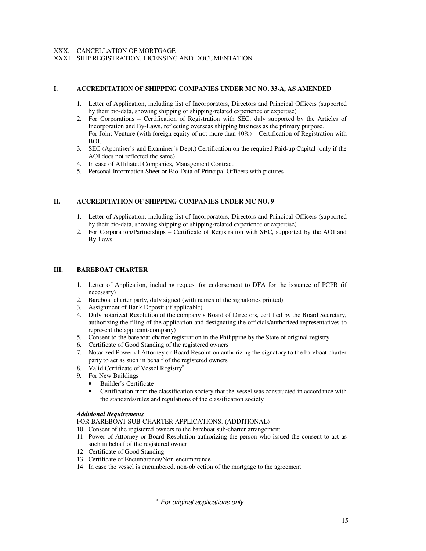### XXX. CANCELLATION OF MORTGAGE

XXXI. SHIP REGISTRATION, LICENSING AND DOCUMENTATION

### **I. ACCREDITATION OF SHIPPING COMPANIES UNDER MC NO. 33-A, AS AMENDED**

- 1. Letter of Application, including list of Incorporators, Directors and Principal Officers (supported by their bio-data, showing shipping or shipping-related experience or expertise)
- 2. For Corporations Certification of Registration with SEC, duly supported by the Articles of Incorporation and By-Laws, reflecting overseas shipping business as the primary purpose. For Joint Venture (with foreign equity of not more than 40%) – Certification of Registration with BOI.
- 3. SEC (Appraiser's and Examiner's Dept.) Certification on the required Paid-up Capital (only if the AOI does not reflected the same)
- 4. In case of Affiliated Companies, Management Contract
- 5. Personal Information Sheet or Bio-Data of Principal Officers with pictures

#### **II. ACCREDITATION OF SHIPPING COMPANIES UNDER MC NO. 9**

- 1. Letter of Application, including list of Incorporators, Directors and Principal Officers (supported by their bio-data, showing shipping or shipping-related experience or expertise)
- 2. For Corporation/Partnerships Certificate of Registration with SEC, supported by the AOI and By-Laws

### **III. BAREBOAT CHARTER**

- 1. Letter of Application, including request for endorsement to DFA for the issuance of PCPR (if necessary)
- 2. Bareboat charter party, duly signed (with names of the signatories printed)
- 3. Assignment of Bank Deposit (if applicable)
- 4. Duly notarized Resolution of the company's Board of Directors, certified by the Board Secretary, authorizing the filing of the application and designating the officials/authorized representatives to represent the applicant-company)
- 5. Consent to the bareboat charter registration in the Philippine by the State of original registry
- 6. Certificate of Good Standing of the registered owners
- 7. Notarized Power of Attorney or Board Resolution authorizing the signatory to the bareboat charter party to act as such in behalf of the registered owners
- 8. Valid Certificate of Vessel Registry<sup>\*</sup>
- 9. For New Buildings
	- Builder's Certificate
	- Certification from the classification society that the vessel was constructed in accordance with the standards/rules and regulations of the classification society

### *Additional Requirements*

#### FOR BAREBOAT SUB-CHARTER APPLICATIONS: (ADDITIONAL)

- 10. Consent of the registered owners to the bareboat sub-charter arrangement
- 11. Power of Attorney or Board Resolution authorizing the person who issued the consent to act as such in behalf of the registered owner
- 12. Certificate of Good Standing
- 13. Certificate of Encumbrance/Non-encumbrance

 $\overline{a}$ 

14. In case the vessel is encumbered, non-objection of the mortgage to the agreement

<sup>∗</sup> For original applications only.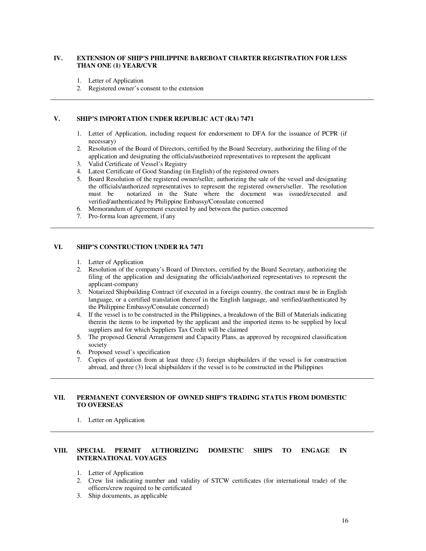### **IV. EXTENSION OF SHIP'S PHILIPPINE BAREBOAT CHARTER REGISTRATION FOR LESS THAN ONE (1) YEAR/CVR**

- 1. Letter of Application
- 2. Registered owner's consent to the extension

### **V. SHIP'S IMPORTATION UNDER REPUBLIC ACT (RA) 7471**

- 1. Letter of Application, including request for endorsement to DFA for the issuance of PCPR (if necessary)
- 2. Resolution of the Board of Directors, certified by the Board Secretary, authorizing the filing of the application and designating the officials/authorized representatives to represent the applicant
- 3. Valid Certificate of Vessel's Registry
- 4. Latest Certificate of Good Standing (in English) of the registered owners
- 5. Board Resolution of the registered owner/seller, authorizing the sale of the vessel and designating the officials/authorized representatives to represent the registered owners/seller. The resolution must be notarized in the State where the document was issued/executed and verified/authenticated by Philippine Embassy/Consulate concerned
- 6. Memorandum of Agreement executed by and between the parties concerned
- 7. Pro-forma loan agreement, if any

### **VI. SHIP'S CONSTRUCTION UNDER RA 7471**

- 1. Letter of Application
- 2. Resolution of the company's Board of Directors, certified by the Board Secretary, authorizing the filing of the application and designating the officials/authorized representatives to represent the applicant-company
- 3. Notarized Shipbuilding Contract (if executed in a foreign country, the contract must be in English language, or a certified translation thereof in the English language, and verified/authenticated by the Philippine Embassy/Consulate concerned)
- 4. If the vessel is to be constructed in the Philippines, a breakdown of the Bill of Materials indicating therein the items to be imported by the applicant and the imported items to be supplied by local suppliers and for which Suppliers Tax Credit will be claimed
- 5. The proposed General Arrangement and Capacity Plans, as approved by recognized classification society
- 6. Proposed vessel's specification
- 7. Copies of quotation from at least three (3) foreign shipbuilders if the vessel is for construction abroad, and three (3) local shipbuilders if the vessel is to be constructed in the Philippines

### **VII. PERMANENT CONVERSION OF OWNED SHIP'S TRADING STATUS FROM DOMESTIC TO OVERSEAS**

1. Letter on Application

#### **VIII. SPECIAL PERMIT AUTHORIZING DOMESTIC SHIPS TO ENGAGE IN INTERNATIONAL VOYAGES**

- 1. Letter of Application
- 2. Crew list indicating number and validity of STCW certificates (for international trade) of the officers/crew required to be certificated
- 3. Ship documents, as applicable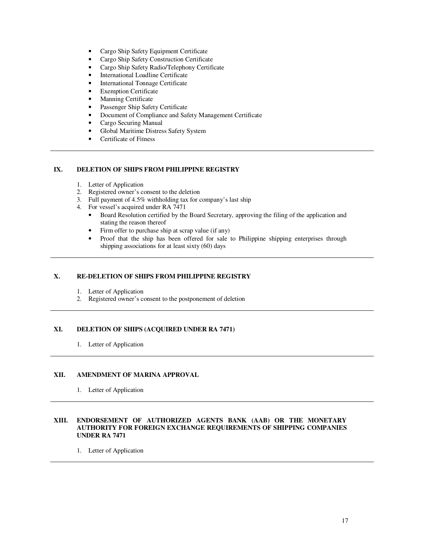- Cargo Ship Safety Equipment Certificate
- Cargo Ship Safety Construction Certificate
- Cargo Ship Safety Radio/Telephony Certificate
- International Loadline Certificate
- International Tonnage Certificate
- Exemption Certificate
- Manning Certificate
- Passenger Ship Safety Certificate
- Document of Compliance and Safety Management Certificate
- Cargo Securing Manual
- Global Maritime Distress Safety System
- Certificate of Fitness

### **IX. DELETION OF SHIPS FROM PHILIPPINE REGISTRY**

- 1. Letter of Application
- 2. Registered owner's consent to the deletion
- 3. Full payment of 4.5% withholding tax for company's last ship
- 4. For vessel's acquired under RA 7471
	- Board Resolution certified by the Board Secretary, approving the filing of the application and stating the reason thereof
	- Firm offer to purchase ship at scrap value (if any)<br>• Proof that the ship has been offered for sale to
	- Proof that the ship has been offered for sale to Philippine shipping enterprises through shipping associations for at least sixty (60) days

### **X. RE-DELETION OF SHIPS FROM PHILIPPINE REGISTRY**

- 1. Letter of Application
- 2. Registered owner's consent to the postponement of deletion

### **XI. DELETION OF SHIPS (ACQUIRED UNDER RA 7471)**

1. Letter of Application

### **XII. AMENDMENT OF MARINA APPROVAL**

1. Letter of Application

### **XIII. ENDORSEMENT OF AUTHORIZED AGENTS BANK (AAB) OR THE MONETARY AUTHORITY FOR FOREIGN EXCHANGE REQUIREMENTS OF SHIPPING COMPANIES UNDER RA 7471**

1. Letter of Application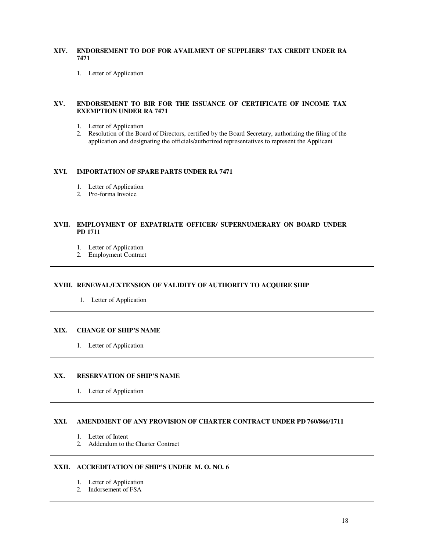### **XIV. ENDORSEMENT TO DOF FOR AVAILMENT OF SUPPLIERS' TAX CREDIT UNDER RA 7471**

1. Letter of Application

### **XV. ENDORSEMENT TO BIR FOR THE ISSUANCE OF CERTIFICATE OF INCOME TAX EXEMPTION UNDER RA 7471**

- 1. Letter of Application
- 2. Resolution of the Board of Directors, certified by the Board Secretary, authorizing the filing of the application and designating the officials/authorized representatives to represent the Applicant

#### **XVI. IMPORTATION OF SPARE PARTS UNDER RA 7471**

- 1. Letter of Application
- 2. Pro-forma Invoice

### **XVII. EMPLOYMENT OF EXPATRIATE OFFICER/ SUPERNUMERARY ON BOARD UNDER PD 1711**

- 1. Letter of Application
- 2. Employment Contract

### **XVIII. RENEWAL/EXTENSION OF VALIDITY OF AUTHORITY TO ACQUIRE SHIP**

1. Letter of Application

### **XIX. CHANGE OF SHIP'S NAME**

1. Letter of Application

### **XX. RESERVATION OF SHIP'S NAME**

1. Letter of Application

### **XXI. AMENDMENT OF ANY PROVISION OF CHARTER CONTRACT UNDER PD 760/866/1711**

- 1. Letter of Intent
- 2. Addendum to the Charter Contract

### **XXII. ACCREDITATION OF SHIP'S UNDER M. O. NO. 6**

- 1. Letter of Application
- 2. Indorsement of FSA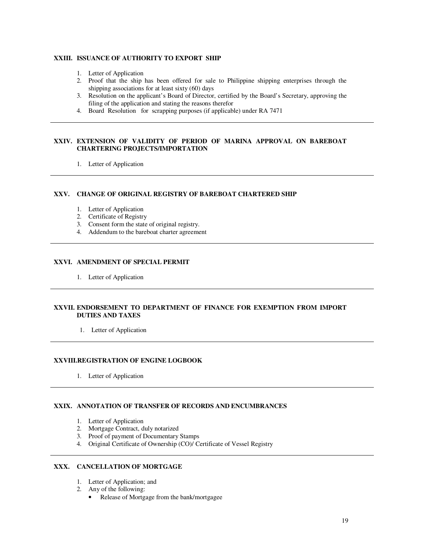### **XXIII. ISSUANCE OF AUTHORITY TO EXPORT SHIP**

- 1. Letter of Application
- 2. Proof that the ship has been offered for sale to Philippine shipping enterprises through the shipping associations for at least sixty (60) days
- 3. Resolution on the applicant's Board of Director, certified by the Board's Secretary, approving the filing of the application and stating the reasons therefor
- 4. Board Resolution for scrapping purposes (if applicable) under RA 7471

### **XXIV. EXTENSION OF VALIDITY OF PERIOD OF MARINA APPROVAL ON BAREBOAT CHARTERING PROJECTS/IMPORTATION**

1. Letter of Application

### **XXV. CHANGE OF ORIGINAL REGISTRY OF BAREBOAT CHARTERED SHIP**

- 1. Letter of Application
- 2. Certificate of Registry
- 3. Consent form the state of original registry.
- 4. Addendum to the bareboat charter agreement

### **XXVI. AMENDMENT OF SPECIAL PERMIT**

1. Letter of Application

### **XXVII. ENDORSEMENT TO DEPARTMENT OF FINANCE FOR EXEMPTION FROM IMPORT DUTIES AND TAXES**

1. Letter of Application

### **XXVIII. REGISTRATION OF ENGINE LOGBOOK**

1. Letter of Application

### **XXIX. ANNOTATION OF TRANSFER OF RECORDS AND ENCUMBRANCES**

- 1. Letter of Application
- 2. Mortgage Contract, duly notarized
- 3. Proof of payment of Documentary Stamps
- 4. Original Certificate of Ownership (CO)/ Certificate of Vessel Registry

### **XXX. CANCELLATION OF MORTGAGE**

- 1. Letter of Application; and
- 2. Any of the following:
	- Release of Mortgage from the bank/mortgagee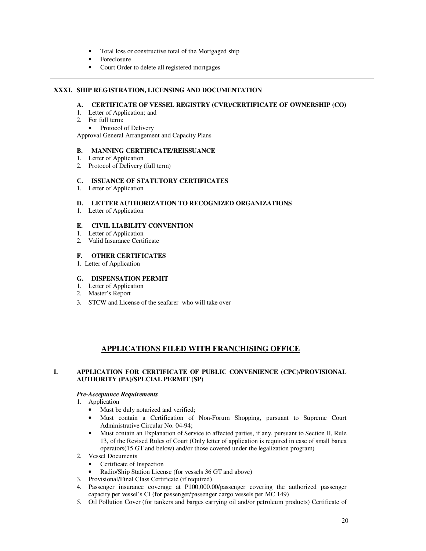- Total loss or constructive total of the Mortgaged ship
- Foreclosure
- Court Order to delete all registered mortgages

### **XXXI. SHIP REGISTRATION, LICENSING AND DOCUMENTATION**

### **A. CERTIFICATE OF VESSEL REGISTRY (CVR)/CERTIFICATE OF OWNERSHIP (CO)**

- 1. Letter of Application; and
- 2. For full term:
- Protocol of Delivery

Approval General Arrangement and Capacity Plans

### **B. MANNING CERTIFICATE/REISSUANCE**

- 1. Letter of Application
- 2. Protocol of Delivery (full term)

### **C. ISSUANCE OF STATUTORY CERTIFICATES**

1. Letter of Application

### **D. LETTER AUTHORIZATION TO RECOGNIZED ORGANIZATIONS**

1. Letter of Application

### **E. CIVIL LIABILITY CONVENTION**

- 1. Letter of Application
- 2. Valid Insurance Certificate

### **F. OTHER CERTIFICATES**

1. Letter of Application

### **G. DISPENSATION PERMIT**

- 1. Letter of Application
- 2. Master's Report
- 3. STCW and License of the seafarer who will take over

## **APPLICATIONS FILED WITH FRANCHISING OFFICE**

### **I. APPLICATION FOR CERTIFICATE OF PUBLIC CONVENIENCE (CPC)/PROVISIONAL AUTHORITY (PA)/SPECIAL PERMIT (SP)**

#### *Pre-Acceptance Requirements*

- 1. Application
	- Must be duly notarized and verified;
	- Must contain a Certification of Non-Forum Shopping, pursuant to Supreme Court Administrative Circular No. 04-94;
	- Must contain an Explanation of Service to affected parties, if any, pursuant to Section II, Rule 13, of the Revised Rules of Court (Only letter of application is required in case of small banca operators(15 GT and below) and/or those covered under the legalization program)
- 2. Vessel Documents
	- Certificate of Inspection
	- Radio/Ship Station License (for vessels 36 GT and above)
- 3. Provisional/Final Class Certificate (if required)
- 4. Passenger insurance coverage at P100,000.00/passenger covering the authorized passenger capacity per vessel's CI (for passenger/passenger cargo vessels per MC 149)
- 5. Oil Pollution Cover (for tankers and barges carrying oil and/or petroleum products) Certificate of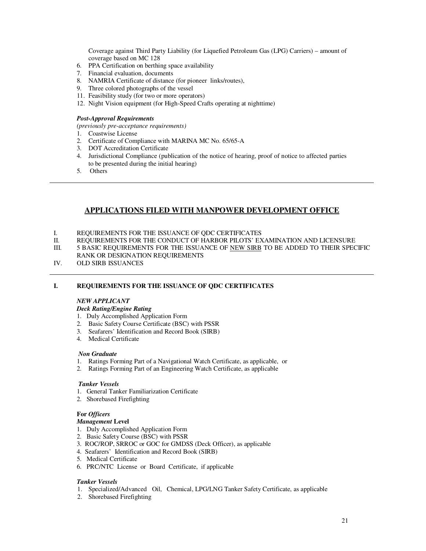Coverage against Third Party Liability (for Liquefied Petroleum Gas (LPG) Carriers) – amount of coverage based on MC 128

- 6. PPA Certification on berthing space availability
- 7. Financial evaluation, documents
- 8. NAMRIA Certificate of distance (for pioneer links/routes),
- 9. Three colored photographs of the vessel
- 11. Feasibility study (for two or more operators)
- 12. Night Vision equipment (for High-Speed Crafts operating at nighttime)
- *Post-Approval Requirements*

*(previously pre-acceptance requirements)* 

- 1. Coastwise License
- 2. Certificate of Compliance with MARINA MC No. 65/65-A
- 3. DOT Accreditation Certificate
- 4. Jurisdictional Compliance (publication of the notice of hearing, proof of notice to affected parties to be presented during the initial hearing)
- 5. Others

## **APPLICATIONS FILED WITH MANPOWER DEVELOPMENT OFFICE**

- I. REQUIREMENTS FOR THE ISSUANCE OF QDC CERTIFICATES
- II. REQUIREMENTS FOR THE CONDUCT OF HARBOR PILOTS' EXAMINATION AND LICENSURE
- III. 5 BASIC REQUIREMENTS FOR THE ISSUANCE OF NEW SIRB TO BE ADDED TO THEIR SPECIFIC RANK OR DESIGNATION REQUIREMENTS
- IV. OLD SIRB ISSUANCES

### **I. REQUIREMENTS FOR THE ISSUANCE OF QDC CERTIFICATES**

### *NEW APPLICANT*

### *Deck Rating/Engine Rating*

- 1. Duly Accomplished Application Form
- 2. Basic Safety Course Certificate (BSC) with PSSR
- 3. Seafarers' Identification and Record Book (SIRB)
- 4. Medical Certificate

#### *Non Graduate*

- 1. Ratings Forming Part of a Navigational Watch Certificate, as applicable, or
- 2. Ratings Forming Part of an Engineering Watch Certificate, as applicable

#### *Tanker Vessels*

- 1. General Tanker Familiarization Certificate
- 2. Shorebased Firefighting

### **For** *Officers*

### *Management* **Level**

- 1. Duly Accomplished Application Form
- 2. Basic Safety Course (BSC) with PSSR
- 3. ROC/ROP, SRROC or GOC for GMDSS (Deck Officer), as applicable
- 4. Seafarers' Identification and Record Book (SIRB)
- 5. Medical Certificate
- 6. PRC/NTC License or Board Certificate, if applicable

#### *Tanker Vessels*

- 1. Specialized/Advanced Oil, Chemical, LPG/LNG Tanker Safety Certificate, as applicable
- 2. Shorebased Firefighting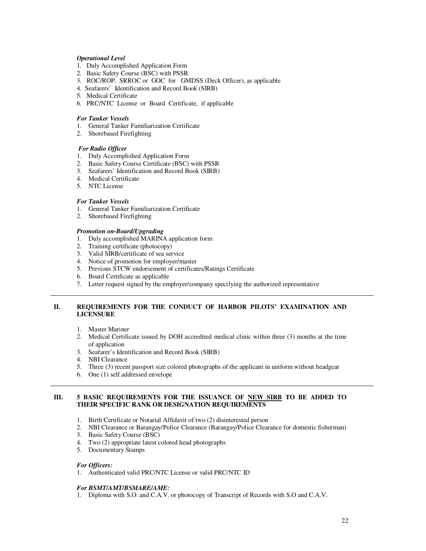### *Operational Level*

- 1. Duly Accomplished Application Form
- 2. Basic Safety Course (BSC) with PSSR
- 3. ROC/ROP, SRROC or GOC for GMDSS (Deck Officer), as applicable
- 4. Seafarers' Identification and Record Book (SIRB)
- 5. Medical Certificate
- 6. PRC/NTC License or Board Certificate, if applicable

### *For Tanker Vessels*

- 1. General Tanker Familiarization Certificate
- 2. Shorebased Firefighting

### *For Radio Officer*

- 1. Duly Accomplished Application Form
- 2. Basic Safety Course Certificate (BSC) with PSSR
- 3. Seafarers' Identification and Record Book (SIRB)
- 4. Medical Certificate
- 5. NTC License

### *For Tanker Vessels*

- 1. General Tanker Familiarization Certificate
- 2. Shorebased Firefighting

#### *Promotion on-Board/Upgrading*

- 1. Duly accomplished MARINA application form
- 2. Training certificate (photocopy)
- 3. Valid SIRB/certificate of sea service
- 4. Notice of promotion for employer/master
- 5. Previous STCW endorsement of certificates/Ratings Certificate
- 6. Board Certificate as applicable
- 7. Letter request signed by the employer/company specifying the authorized representative

### **II. REQUIREMENTS FOR THE CONDUCT OF HARBOR PILOTS' EXAMINATION AND LICENSURE**

- 1. Master Mariner
- 2. Medical Certificate issued by DOH accredited medical clinic within three (3) months at the time of application
- 3. Seafarer's Identification and Record Book (SIRB)
- 4. NBI Clearance
- 5. Three (3) recent passport size colored photographs of the applicant in uniform without headgear
- 6. One (1) self addressed envelope

#### **III. 5 BASIC REQUIREMENTS FOR THE ISSUANCE OF NEW SIRB TO BE ADDED TO THEIR SPECIFIC RANK OR DESIGNATION REQUIREMENTS**

- 1. Birth Certificate or Notarial Affidavit of two (2) disinterested person
- 2. NBI Clearance or Barangay/Police Clearance (Barangay/Police Clearance for domestic fisherman)
- 3. Basic Safety Course (BSC)
- 4. Two (2) appropriate latest colored head photographs
- 5. Documentary Stamps

#### *For Officers:*

1. Authenticated valid PRC/NTC License or valid PRC/NTC ID

#### *For BSMT/AMT/BSMARE/AME:*

1. Diploma with S.O. and C.A.V. or photocopy of Transcript of Records with S.O and C.A.V.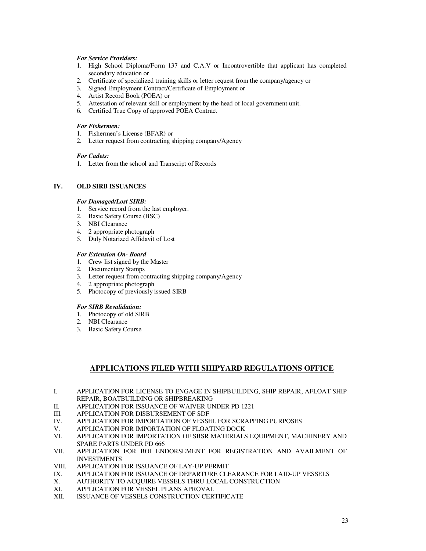### *For Service Providers:*

- 1. High School Diploma/Form 137 and C.A.V or Incontrovertible that applicant has completed secondary education or
- 2. Certificate of specialized training skills or letter request from the company/agency or
- 3. Signed Employment Contract/Certificate of Employment or
- 4. Artist Record Book (POEA) or
- 5. Attestation of relevant skill or employment by the head of local government unit.
- 6. Certified True Copy of approved POEA Contract

### *For Fishermen:*

- 1. Fishermen's License (BFAR) or
- 2. Letter request from contracting shipping company/Agency

#### *For Cadets:*

1. Letter from the school and Transcript of Records

### **IV. OLD SIRB ISSUANCES**

### *For Damaged/Lost SIRB:*

- 1. Service record from the last employer.
- 2. Basic Safety Course (BSC)
- 3. NBI Clearance
- 4. 2 appropriate photograph
- 5. Duly Notarized Affidavit of Lost

### *For Extension On- Board*

- 1. Crew list signed by the Master
- 2. Documentary Stamps
- 3. Letter request from contracting shipping company/Agency
- 4. 2 appropriate photograph
- 5. Photocopy of previously issued SIRB

#### *For SIRB Revalidation:*

- 1. Photocopy of old SIRB
- 2. NBI Clearance
- 3. Basic Safety Course

### **APPLICATIONS FILED WITH SHIPYARD REGULATIONS OFFICE**

- I. APPLICATION FOR LICENSE TO ENGAGE IN SHIPBUILDING, SHIP REPAIR, AFLOAT SHIP REPAIR, BOATBUILDING OR SHIPBREAKING
- II. APPLICATION FOR ISSUANCE OF WAIVER UNDER PD 1221<br>III. APPLICATION FOR DISBURSEMENT OF SDF
- III. APPLICATION FOR DISBURSEMENT OF SDF IV. APPLICATION FOR IMPORTATION OF VESSE
- IV. APPLICATION FOR IMPORTATION OF VESSEL FOR SCRAPPING PURPOSES
- V. APPLICATION FOR IMPORTATION OF FLOATING DOCK<br>VI APPLICATION FOR IMPORTATION OF SBSR MATERIALS
- APPLICATION FOR IMPORTATION OF SBSR MATERIALS EQUIPMENT, MACHINERY AND SPARE PARTS UNDER PD 666
- VII. APPLICATION FOR BOI ENDORSEMENT FOR REGISTRATION AND AVAILMENT OF INVESTMENTS
- VIII. APPLICATION FOR ISSUANCE OF LAY-UP PERMIT<br>IX. APPLICATION FOR ISSUANCE OF DEPARTURE CLE
- IX. APPLICATION FOR ISSUANCE OF DEPARTURE CLEARANCE FOR LAID-UP VESSELS X. AUTHORITY TO ACQUIRE VESSELS THRU LOCAL CONSTRUCTION
- X. AUTHORITY TO ACQUIRE VESSELS THRU LOCAL CONSTRUCTION<br>XI. APPLICATION FOR VESSEL PLANS APROVAL
- APPLICATION FOR VESSEL PLANS APROVAL
- XII. ISSUANCE OF VESSELS CONSTRUCTION CERTIFICATE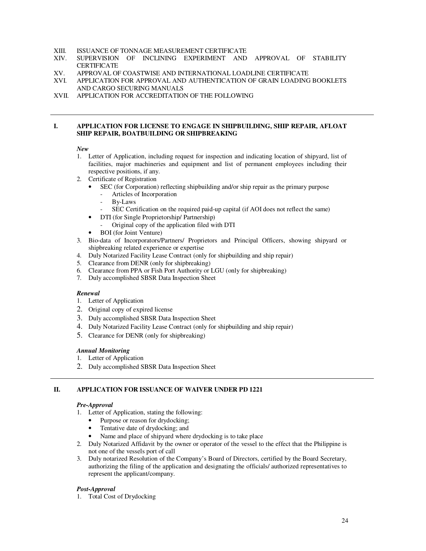# XIII. ISSUANCE OF TONNAGE MEASUREMENT CERTIFICATE XIV. SUPERVISION OF INCLINING EXPERIMENT AND

- SUPERVISION OF INCLINING EXPERIMENT AND APPROVAL OF STABILITY **CERTIFICATE**
- XV. APPROVAL OF COASTWISE AND INTERNATIONAL LOADLINE CERTIFICATE
- XVI. APPLICATION FOR APPROVAL AND AUTHENTICATION OF GRAIN LOADING BOOKLETS AND CARGO SECURING MANUALS
- XVII. APPLICATION FOR ACCREDITATION OF THE FOLLOWING

#### **I. APPLICATION FOR LICENSE TO ENGAGE IN SHIPBUILDING, SHIP REPAIR, AFLOAT SHIP REPAIR, BOATBUILDING OR SHIPBREAKING**

#### *New*

- 1. Letter of Application, including request for inspection and indicating location of shipyard, list of facilities, major machineries and equipment and list of permanent employees including their respective positions, if any.
- 2. Certificate of Registration
	- SEC (for Corporation) reflecting shipbuilding and/or ship repair as the primary purpose
		- Articles of Incorporation
		- By-Laws
		- SEC Certification on the required paid-up capital (if AOI does not reflect the same)
	- DTI (for Single Proprietorship/ Partnership)
		- Original copy of the application filed with DTI
	- BOI (for Joint Venture)
- 3. Bio-data of Incorporators/Partners/ Proprietors and Principal Officers, showing shipyard or shipbreaking related experience or expertise
- 4. Duly Notarized Facility Lease Contract (only for shipbuilding and ship repair)
- 5. Clearance from DENR (only for shipbreaking)
- 6. Clearance from PPA or Fish Port Authority or LGU (only for shipbreaking)
- 7. Duly accomplished SBSR Data Inspection Sheet

#### *Renewal*

- 1. Letter of Application
- 2. Original copy of expired license
- 3. Duly accomplished SBSR Data Inspection Sheet
- 4. Duly Notarized Facility Lease Contract (only for shipbuilding and ship repair)
- 5. Clearance for DENR (only for shipbreaking)

#### *Annual Monitoring*

- 1. Letter of Application
- 2. Duly accomplished SBSR Data Inspection Sheet

### **II. APPLICATION FOR ISSUANCE OF WAIVER UNDER PD 1221**

#### *Pre-Approval*

- 1. Letter of Application, stating the following:
	- Purpose or reason for drydocking;
	- Tentative date of drydocking; and
	- Name and place of shipyard where drydocking is to take place
- 2. Duly Notarized Affidavit by the owner or operator of the vessel to the effect that the Philippine is not one of the vessels port of call
- 3. Duly notarized Resolution of the Company's Board of Directors, certified by the Board Secretary, authorizing the filing of the application and designating the officials/ authorized representatives to represent the applicant/company.

#### *Post-Approval*

1. Total Cost of Drydocking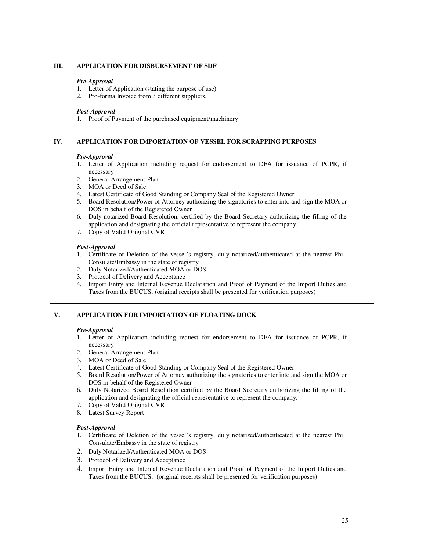#### **III. APPLICATION FOR DISBURSEMENT OF SDF**

#### *Pre-Approval*

- 1. Letter of Application (stating the purpose of use)
- 2. Pro-forma Invoice from 3 different suppliers.

#### *Post-Approval*

1. Proof of Payment of the purchased equipment/machinery

#### **IV. APPLICATION FOR IMPORTATION OF VESSEL FOR SCRAPPING PURPOSES**

#### *Pre-Approval*

- 1. Letter of Application including request for endorsement to DFA for issuance of PCPR, if necessary
- 2. General Arrangement Plan
- 3. MOA or Deed of Sale
- 4. Latest Certificate of Good Standing or Company Seal of the Registered Owner
- 5. Board Resolution/Power of Attorney authorizing the signatories to enter into and sign the MOA or DOS in behalf of the Registered Owner
- 6. Duly notarized Board Resolution, certified by the Board Secretary authorizing the filling of the application and designating the official representative to represent the company.
- 7. Copy of Valid Original CVR

#### *Post-Approval*

- 1. Certificate of Deletion of the vessel's registry, duly notarized/authenticated at the nearest Phil. Consulate/Embassy in the state of registry
- 2. Duly Notarized/Authenticated MOA or DOS
- 3. Protocol of Delivery and Acceptance
- 4. Import Entry and Internal Revenue Declaration and Proof of Payment of the Import Duties and Taxes from the BUCUS. (original receipts shall be presented for verification purposes)

### **V. APPLICATION FOR IMPORTATION OF FLOATING DOCK**

#### *Pre-Approval*

- 1. Letter of Application including request for endorsement to DFA for issuance of PCPR, if necessary
- 2. General Arrangement Plan
- 3. MOA or Deed of Sale
- 4. Latest Certificate of Good Standing or Company Seal of the Registered Owner
- 5. Board Resolution/Power of Attorney authorizing the signatories to enter into and sign the MOA or DOS in behalf of the Registered Owner
- 6. Duly Notarized Board Resolution certified by the Board Secretary authorizing the filling of the application and designating the official representative to represent the company.
- 7. Copy of Valid Original CVR
- 8. Latest Survey Report

#### *Post-Approval*

- 1. Certificate of Deletion of the vessel's registry, duly notarized/authenticated at the nearest Phil. Consulate/Embassy in the state of registry
- 2. Duly Notarized/Authenticated MOA or DOS
- 3. Protocol of Delivery and Acceptance
- 4. Import Entry and Internal Revenue Declaration and Proof of Payment of the Import Duties and Taxes from the BUCUS. (original receipts shall be presented for verification purposes)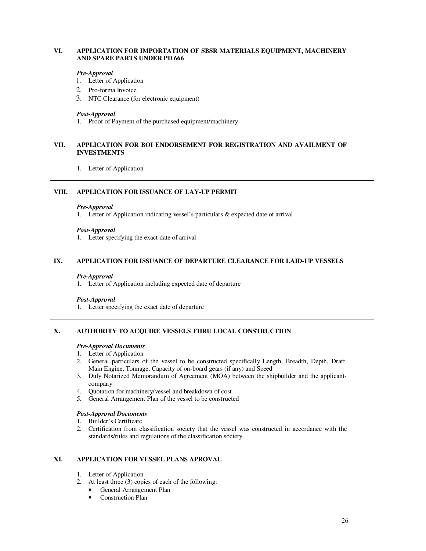### **VI. APPLICATION FOR IMPORTATION OF SBSR MATERIALS EQUIPMENT, MACHINERY AND SPARE PARTS UNDER PD 666**

#### *Pre-Approval*

- 1. Letter of Application
- 2. Pro-forma Invoice
- 3. NTC Clearance (for electronic equipment)

#### *Post-Approval*

1. Proof of Payment of the purchased equipment/machinery

### **VII. APPLICATION FOR BOI ENDORSEMENT FOR REGISTRATION AND AVAILMENT OF INVESTMENTS**

1. Letter of Application

### **VIII. APPLICATION FOR ISSUANCE OF LAY-UP PERMIT**

#### *Pre-Approval*

1. Letter of Application indicating vessel's particulars  $\&$  expected date of arrival

#### *Post-Approval*

1. Letter specifying the exact date of arrival

### **IX. APPLICATION FOR ISSUANCE OF DEPARTURE CLEARANCE FOR LAID-UP VESSELS**

#### *Pre-Approval*

1. Letter of Application including expected date of departure

#### *Post-Approval*

1. Letter specifying the exact date of departure

#### **X. AUTHORITY TO ACQUIRE VESSELS THRU LOCAL CONSTRUCTION**

#### *Pre-Approval Documents*

- 1. Letter of Application
- 2. General particulars of the vessel to be constructed specifically Length, Breadth, Depth, Draft, Main Engine, Tonnage, Capacity of on-board gears (if any) and Speed
- 3. Duly Notarized Memorandum of Agreement (MOA) between the shipbuilder and the applicantcompany
- 4. Quotation for machinery/vessel and breakdown of cost
- 5. General Arrangement Plan of the vessel to be constructed

### *Post-Approval Documents*

#### 1. Builder's Certificate

2. Certification from classification society that the vessel was constructed in accordance with the standards/rules and regulations of the classification society.

### **XI. APPLICATION FOR VESSEL PLANS APROVAL**

- 1. Letter of Application
- 2. At least three (3) copies of each of the following:
	- General Arrangement Plan
	- Construction Plan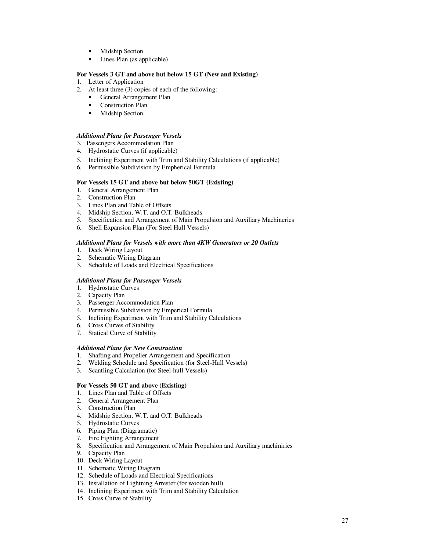- Midship Section
- Lines Plan (as applicable)

### **For Vessels 3 GT and above but below 15 GT (New and Existing)**

- 1. Letter of Application
- 2. At least three (3) copies of each of the following:
	- General Arrangement Plan
	- Construction Plan
	- Midship Section

#### *Additional Plans for Passenger Vessels*

- 3. Passengers Accommodation Plan
- 4. Hydrostatic Curves (if applicable)
- 5. Inclining Experiment with Trim and Stability Calculations (if applicable)
- 6. Permissible Subdivision by Empherical Formula

### **For Vessels 15 GT and above but below 50GT (Existing)**

- 1. General Arrangement Plan
- 2. Construction Plan
- 3. Lines Plan and Table of Offsets
- 4. Midship Section, W.T. and O.T. Bulkheads
- 5. Specification and Arrangement of Main Propulsion and Auxiliary Machineries
- 6. Shell Expansion Plan (For Steel Hull Vessels)

#### *Additional Plans for Vessels with more than 4KW Generators or 20 Outlets*

- 1. Deck Wiring Layout
- 2. Schematic Wiring Diagram
- 3. Schedule of Loads and Electrical Specifications

### *Additional Plans for Passenger Vessels*

- 1. Hydrostatic Curves
- 2. Capacity Plan
- 3. Passenger Accommodation Plan
- 4. Permissible Subdivision by Emperical Formula
- 5. Inclining Experiment with Trim and Stability Calculations
- 6. Cross Curves of Stability
- 7. Statical Curve of Stability

### *Additional Plans for New Construction*

- 1. Shafting and Propeller Arrangement and Specification<br>2. Welding Schedule and Specification (for Steel-Hull Ve
- 2. Welding Schedule and Specification (for Steel-Hull Vessels)
- 3. Scantling Calculation (for Steel-hull Vessels)

#### **For Vessels 50 GT and above (Existing)**

- 1. Lines Plan and Table of Offsets
- 2. General Arrangement Plan
- 3. Construction Plan
- 4. Midship Section, W.T. and O.T. Bulkheads
- 5. Hydrostatic Curves
- 6. Piping Plan (Diagramatic)
- 7. Fire Fighting Arrangement
- 8. Specification and Arrangement of Main Propulsion and Auxiliary machiniries
- 9. Capacity Plan
- 10. Deck Wiring Layout
- 11. Schematic Wiring Diagram
- 12. Schedule of Loads and Electrical Specifications
- 13. Installation of Lightning Arrester (for wooden hull)
- 14. Inclining Experiment with Trim and Stability Calculation
- 15. Cross Curve of Stability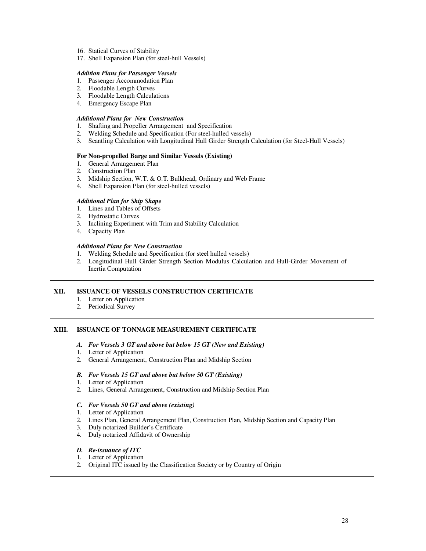- 16. Statical Curves of Stability
- 17. Shell Expansion Plan (for steel-hull Vessels)

#### *Addition Plans for Passenger Vessels*

- 1. Passenger Accommodation Plan
- 2. Floodable Length Curves
- 3. Floodable Length Calculations
- 4. Emergency Escape Plan

### *Additional Plans for New Construction*

- 1. Shafting and Propeller Arrangement and Specification<br>2. Welding Schedule and Specification (For steel-hulled v
- Welding Schedule and Specification (For steel-hulled vessels)
- 3. Scantling Calculation with Longitudinal Hull Girder Strength Calculation (for Steel-Hull Vessels)

#### **For Non-propelled Barge and Similar Vessels (Existing)**

- 1. General Arrangement Plan
- 2. Construction Plan
- 3. Midship Section, W.T. & O.T. Bulkhead, Ordinary and Web Frame
- 4. Shell Expansion Plan (for steel-hulled vessels)

#### *Additional Plan for Ship Shape*

- 1. Lines and Tables of Offsets
- 2. Hydrostatic Curves
- 3. Inclining Experiment with Trim and Stability Calculation
- 4. Capacity Plan

#### *Additional Plans for New Construction*

- 1. Welding Schedule and Specification (for steel hulled vessels)
- 2. Longitudinal Hull Girder Strength Section Modulus Calculation and Hull-Girder Movement of Inertia Computation

#### **XII. ISSUANCE OF VESSELS CONSTRUCTION CERTIFICATE**

- 1. Letter on Application
- 2. Periodical Survey

### **XIII. ISSUANCE OF TONNAGE MEASUREMENT CERTIFICATE**

- *A. For Vessels 3 GT and above but below 15 GT (New and Existing)*
- 1. Letter of Application
- 2. General Arrangement, Construction Plan and Midship Section

#### *B. For Vessels 15 GT and above but below 50 GT (Existing)*

- 1. Letter of Application
- 2. Lines, General Arrangement, Construction and Midship Section Plan

#### *C. For Vessels 50 GT and above (existing)*

- 1. Letter of Application
- 2. Lines Plan, General Arrangement Plan, Construction Plan, Midship Section and Capacity Plan
- 3. Duly notarized Builder's Certificate
- 4. Duly notarized Affidavit of Ownership

#### *D. Re-issuance of ITC*

- 1. Letter of Application
- 2. Original ITC issued by the Classification Society or by Country of Origin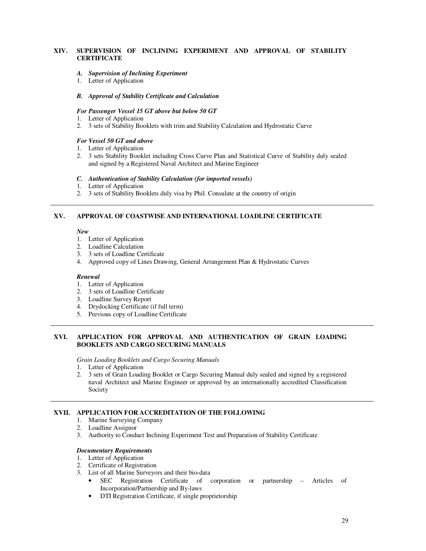### **XIV. SUPERVISION OF INCLINING EXPERIMENT AND APPROVAL OF STABILITY CERTIFICATE**

#### *A. Supervision of Inclining Experiment*

1. Letter of Application

#### *B. Approval of Stability Certificate and Calculation*

### *For Passenger Vessel 15 GT above but below 50 GT*

- 1. Letter of Application
- 2. 3 sets of Stability Booklets with trim and Stability Calculation and Hydrostatic Curve

#### *For Vessel 50 GT and above*

- 1. Letter of Application
- 2. 3 sets Stability Booklet including Cross Curve Plan and Statistical Curve of Stability duly sealed and signed by a Registered Naval Architect and Marine Engineer

#### *C. Authentication of Stability Calculation (for imported vessels)*

- 1. Letter of Application
- 2. 3 sets of Stability Booklets duly visa by Phil. Consulate at the country of origin

### **XV. APPROVAL OF COASTWISE AND INTERNATIONAL LOADLINE CERTIFICATE**

*New* 

- 1. Letter of Application
- 2. Loadline Calculation
- 3. 3 sets of Loadline Certificate
- 4. Approved copy of Lines Drawing, General Arrangement Plan & Hydrostatic Curves

#### *Renewal*

- 1. Letter of Application
- 2. 3 sets of Loadline Certificate
- 3. Loadline Survey Report
- 4. Drydocking Certificate (if full term)
- 5. Previous copy of Loadline Certificate

### **XVI. APPLICATION FOR APPROVAL AND AUTHENTICATION OF GRAIN LOADING BOOKLETS AND CARGO SECURING MANUALS**

*Grain Loading Booklets and Cargo Securing Manuals* 

- 1. Letter of Application
- 2. 3 sets of Grain Loading Booklet or Cargo Securing Manual duly sealed and signed by a registered naval Architect and Marine Engineer or approved by an internationally accredited Classification Society

### **XVII. APPLICATION FOR ACCREDITATION OF THE FOLLOWING**

- 1. Marine Surveying Company
- 2. Loadline Assignor
- 3. Authority to Conduct Inclining Experiment Test and Preparation of Stability Certificate

#### *Documentary Requirements*

- 1. Letter of Application
- 2. Certificate of Registration
- 3. List of all Marine Surveyors and their bio-data
	- SEC Registration Certificate of corporation or partnership Articles of Incorporation/Partnership and By-laws
	- DTI Registration Certificate, if single proprietorship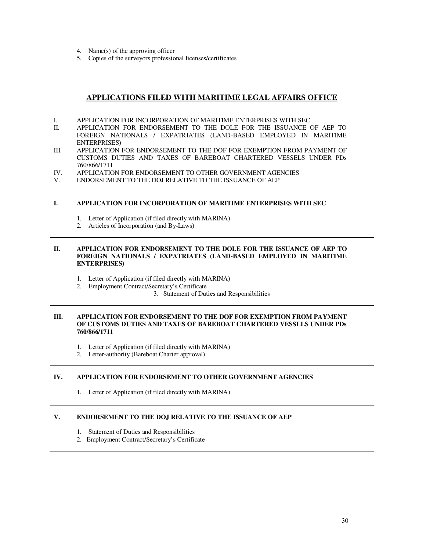- 4. Name(s) of the approving officer
- 5. Copies of the surveyors professional licenses/certificates

## **APPLICATIONS FILED WITH MARITIME LEGAL AFFAIRS OFFICE**

- I. APPLICATION FOR INCORPORATION OF MARITIME ENTERPRISES WITH SECTED APPLICATION FOR ENDORSEMENT TO THE DOLE FOR THE ISSUANCE
- APPLICATION FOR ENDORSEMENT TO THE DOLE FOR THE ISSUANCE OF AEP TO FOREIGN NATIONALS / EXPATRIATES (LAND-BASED EMPLOYED IN MARITIME ENTERPRISES)
- III. APPLICATION FOR ENDORSEMENT TO THE DOF FOR EXEMPTION FROM PAYMENT OF CUSTOMS DUTIES AND TAXES OF BAREBOAT CHARTERED VESSELS UNDER PDs 760/866/1711
- IV. APPLICATION FOR ENDORSEMENT TO OTHER GOVERNMENT AGENCIES<br>V. ENDORSEMENT TO THE DOJ RELATIVE TO THE ISSUANCE OF AEP
- ENDORSEMENT TO THE DOJ RELATIVE TO THE ISSUANCE OF AEP

### **I. APPLICATION FOR INCORPORATION OF MARITIME ENTERPRISES WITH SEC**

- 1. Letter of Application (if filed directly with MARINA)
- 2. Articles of Incorporation (and By-Laws)

### **II. APPLICATION FOR ENDORSEMENT TO THE DOLE FOR THE ISSUANCE OF AEP TO FOREIGN NATIONALS / EXPATRIATES (LAND-BASED EMPLOYED IN MARITIME ENTERPRISES)**

- 1. Letter of Application (if filed directly with MARINA)
- 2. Employment Contract/Secretary's Certificate
	- 3. Statement of Duties and Responsibilities

### **III. APPLICATION FOR ENDORSEMENT TO THE DOF FOR EXEMPTION FROM PAYMENT OF CUSTOMS DUTIES AND TAXES OF BAREBOAT CHARTERED VESSELS UNDER PDs 760/866/1711**

- 1. Letter of Application (if filed directly with MARINA)
- 2. Letter-authority (Bareboat Charter approval)

### **IV. APPLICATION FOR ENDORSEMENT TO OTHER GOVERNMENT AGENCIES**

1. Letter of Application (if filed directly with MARINA)

### **V. ENDORSEMENT TO THE DOJ RELATIVE TO THE ISSUANCE OF AEP**

- 1. Statement of Duties and Responsibilities
- 2. Employment Contract/Secretary's Certificate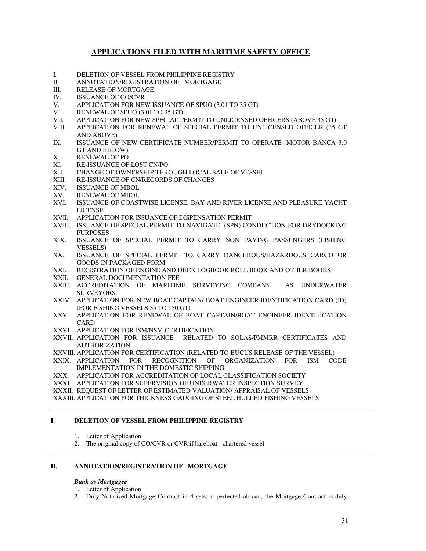## **APPLICATIONS FILED WITH MARITIME SAFETY OFFICE**

- I. DELETION OF VESSEL FROM PHILIPPINE REGISTRY
- II. ANNOTATION/REGISTRATION OF MORTGAGE
- III. RELEASE OF MORTGAGE
- IV. ISSUANCE OF CO/CVR
- V. APPLICATION FOR NEW ISSUANCE OF SPUO (3.01 TO 35 GT)<br>VI. RENEWAL OF SPUO (3.01 TO 35 GT)
- RENEWAL OF SPUO (3.01 TO 35 GT)
- VII. APPLICATION FOR NEW SPECIAL PERMIT TO UNLICENSED OFFICERS (ABOVE 35 GT)
- VIII. APPLICATION FOR RENEWAL OF SPECIAL PERMIT TO UNLICENSED OFFICER (35 GT AND ABOVE)
- IX. ISSUANCE OF NEW CERTIFICATE NUMBER/PERMIT TO OPERATE (MOTOR BANCA 3.0 GT AND BELOW)
- X. RENEWAL OF PO<br>XI. RE-ISSUANCE OF
- RE-ISSUANCE OF LOST CN/PO
- XII. CHANGE OF OWNERSHIP THROUGH LOCAL SALE OF VESSEL
- XIII. RE-ISSUANCE OF CN/RECORDS OF CHANGES<br>XIV. ISSUANCE OF MBOL
- XIV. ISSUANCE OF MBOL<br>XV. RENEWAL OF MBOL
- XV. RENEWAL OF MBOL<br>XVI. ISSUANCE OF COAST
- ISSUANCE OF COASTWISE LICENSE, BAY AND RIVER LICENSE AND PLEASURE YACHT LICENSE
- XVII. APPLICATION FOR ISSUANCE OF DISPENSATION PERMIT
- XVIII. ISSUANCE OF SPECIAL PERMIT TO NAVIGATE (SPN) CONDUCTION FOR DRYDOCKING PURPOSES
- XIX. ISSUANCE OF SPECIAL PERMIT TO CARRY NON PAYING PASSENGERS (FISHING VESSELS)
- XX. ISSUANCE OF SPECIAL PERMIT TO CARRY DANGEROUS/HAZARDOUS CARGO OR GOODS IN PACKAGED FORM
- XXI. REGISTRATION OF ENGINE AND DECK LOGBOOK ROLL BOOK AND OTHER BOOKS
- XXII. GENERAL DOCUMENTATION FEE
- XXIII. ACCREDITATION OF MARITIME SURVEYING COMPANY AS UNDERWATER **SURVEYORS**
- XXIV. APPLICATION FOR NEW BOAT CAPTAIN/ BOAT ENGINEER IDENTIFICATION CARD (ID) (FOR FISHING VESSELS 35 TO 150 GT)
- XXV. APPLICATION FOR RENEWAL OF BOAT CAPTAIN/BOAT ENGINEER IDENTIFICATION **CARD**
- XXVI. APPLICATION FOR ISM/NSM CERTIFICATION
- XXVII. APPLICATION FOR ISSUANCE RELATED TO SOLAS/PMMRR CERTIFICATES AND AUTHORIZATION
- XXVIII. APPLICATION FOR CERTIFICATION (RELATED TO BUCUS RELEASE OF THE VESSEL)
- XXIX. APPLICATION FOR RECOGNITION OF ORGANIZATION FOR ISM CODE IMPLEMENTATION IN THE DOMESTIC SHIPPING
- XXX. APPLICATION FOR ACCREDITATION OF LOCAL CLASSIFICATION SOCIETY
- XXXI. APPLICATION FOR SUPERVISION OF UNDERWATER INSPECTION SURVEY
- XXXII. REQUEST OF LETTER OF ESTIMATED VALUATION/ APPRAISAL OF VESSELS

XXXIII. APPLICATION FOR THICKNESS GAUGING OF STEEL HULLED FISHING VESSELS

### **I. DELETION OF VESSEL FROM PHILIPPINE REGISTRY**

- 1. Letter of Application
- 2. The original copy of CO/CVR or CVR if bareboat chartered vessel

### **II. ANNOTATION/REGISTRATION OF MORTGAGE**

#### *Bank as Mortgagee*

- 1. Letter of Application
- 2. Duly Notarized Mortgage Contract in 4 sets; if perfected abroad, the Mortgage Contract is duly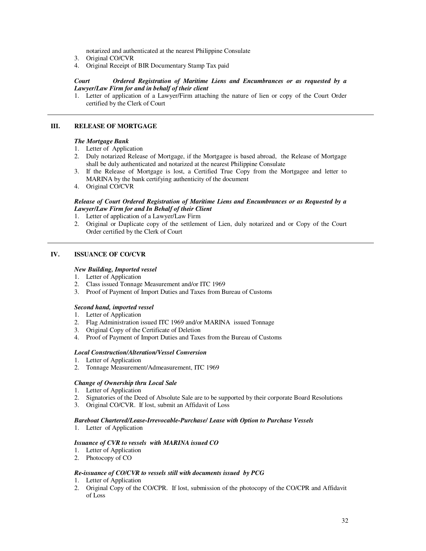notarized and authenticated at the nearest Philippine Consulate

- 3. Original CO/CVR
- 4. Original Receipt of BIR Documentary Stamp Tax paid

#### *Court Ordered Registration of Maritime Liens and Encumbrances or as requested by a Lawyer/Law Firm for and in behalf of their client*

1. Letter of application of a Lawyer/Firm attaching the nature of lien or copy of the Court Order certified by the Clerk of Court

### **III. RELEASE OF MORTGAGE**

#### *The Mortgage Bank*

- 1. Letter of Application
- 2. Duly notarized Release of Mortgage, if the Mortgagee is based abroad, the Release of Mortgage shall be duly authenticated and notarized at the nearest Philippine Consulate
- 3. If the Release of Mortgage is lost, a Certified True Copy from the Mortgagee and letter to MARINA by the bank certifying authenticity of the document
- 4. Original CO/CVR

#### *Release of Court Ordered Registration of Maritime Liens and Encumbrances or as Requested by a Lawyer/Law Firm for and In Behalf of their Client*

- 1. Letter of application of a Lawyer/Law Firm
- 2. Original or Duplicate copy of the settlement of Lien, duly notarized and or Copy of the Court Order certified by the Clerk of Court

### **IV. ISSUANCE OF CO/CVR**

#### *New Building, Imported vessel*

- 1. Letter of Application
- 2. Class issued Tonnage Measurement and/or ITC 1969
- 3. Proof of Payment of Import Duties and Taxes from Bureau of Customs

#### *Second hand, imported vessel*

- 1. Letter of Application
- 2. Flag Administration issued ITC 1969 and/or MARINA issued Tonnage
- 3. Original Copy of the Certificate of Deletion
- 4. Proof of Payment of Import Duties and Taxes from the Bureau of Customs

#### *Local Construction/Alteration/Vessel Conversion*

- 1. Letter of Application
- 2. Tonnage Measurement/Admeasurement, ITC 1969

### *Change of Ownership thru Local Sale*

- 1. Letter of Application
- 2. Signatories of the Deed of Absolute Sale are to be supported by their corporate Board Resolutions
- 3. Original CO/CVR. If lost, submit an Affidavit of Loss

#### *Bareboat Chartered/Lease-Irrevocable-Purchase/ Lease with Option to Purchase Vessels*

1. Letter of Application

#### *Issuance of CVR to vessels with MARINA issued CO*

- 1. Letter of Application
- 2. Photocopy of CO

#### *Re-issuance of CO/CVR to vessels still with documents issued by PCG*

- 1. Letter of Application
- 2. Original Copy of the CO/CPR. If lost, submission of the photocopy of the CO/CPR and Affidavit of Loss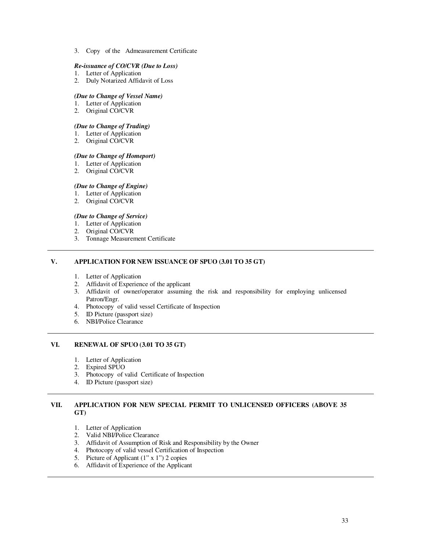3. Copy of the Admeasurement Certificate

#### *Re-issuance of CO/CVR (Due to Loss)*

- 1. Letter of Application
- 2. Duly Notarized Affidavit of Loss

### *(Due to Change of Vessel Name)*

- 1. Letter of Application
- 2. Original CO/CVR

### *(Due to Change of Trading)*

- 1. Letter of Application
- 2. Original CO/CVR

#### *(Due to Change of Homeport)*

- 1. Letter of Application
- 2. Original CO/CVR

#### *(Due to Change of Engine)*

- 1. Letter of Application
- 2. Original CO/CVR

#### *(Due to Change of Service)*

- 1. Letter of Application
- 2. Original CO/CVR
- 3. Tonnage Measurement Certificate

### **V. APPLICATION FOR NEW ISSUANCE OF SPUO (3.01 TO 35 GT)**

- 1. Letter of Application
- 2. Affidavit of Experience of the applicant
- 3. Affidavit of owner/operator assuming the risk and responsibility for employing unlicensed Patron/Engr.
- 4. Photocopy of valid vessel Certificate of Inspection
- 5. ID Picture (passport size)
- 6. NBI/Police Clearance

### **VI. RENEWAL OF SPUO (3.01 TO 35 GT)**

- 1. Letter of Application
- 2. Expired SPUO
- 3. Photocopy of valid Certificate of Inspection
- 4. ID Picture (passport size)

### **VII. APPLICATION FOR NEW SPECIAL PERMIT TO UNLICENSED OFFICERS (ABOVE 35 GT)**

- 1. Letter of Application
- 2. Valid NBI/Police Clearance
- 3. Affidavit of Assumption of Risk and Responsibility by the Owner
- 4. Photocopy of valid vessel Certification of Inspection
- 5. Picture of Applicant (1" x 1") 2 copies
- 6. Affidavit of Experience of the Applicant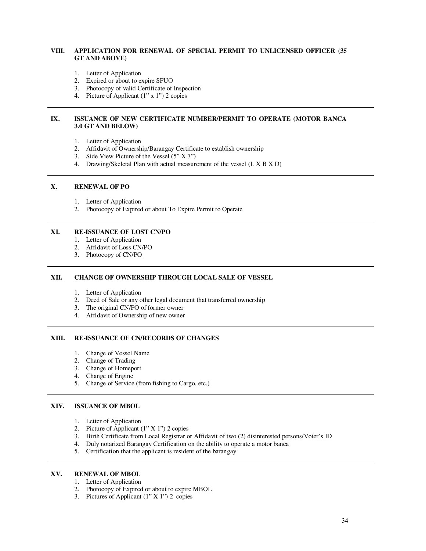### **VIII. APPLICATION FOR RENEWAL OF SPECIAL PERMIT TO UNLICENSED OFFICER (35 GT AND ABOVE)**

- 1. Letter of Application
- 2. Expired or about to expire SPUO
- 3. Photocopy of valid Certificate of Inspection
- 4. Picture of Applicant (1" x 1") 2 copies

### **IX. ISSUANCE OF NEW CERTIFICATE NUMBER/PERMIT TO OPERATE (MOTOR BANCA 3.0 GT AND BELOW)**

- 1. Letter of Application
- 2. Affidavit of Ownership/Barangay Certificate to establish ownership
- 3. Side View Picture of the Vessel (5" X 7")
- 4. Drawing/Skeletal Plan with actual measurement of the vessel (L X B X D)

### **X. RENEWAL OF PO**

- 1. Letter of Application
- 2. Photocopy of Expired or about To Expire Permit to Operate

#### **XI. RE-ISSUANCE OF LOST CN/PO**

- 1. Letter of Application
- 2. Affidavit of Loss CN/PO
- 3. Photocopy of CN/PO

### **XII. CHANGE OF OWNERSHIP THROUGH LOCAL SALE OF VESSEL**

- 1. Letter of Application
- 2. Deed of Sale or any other legal document that transferred ownership
- 3. The original CN/PO of former owner
- 4. Affidavit of Ownership of new owner

#### **XIII. RE-ISSUANCE OF CN/RECORDS OF CHANGES**

- 1. Change of Vessel Name
- 2. Change of Trading
- 3. Change of Homeport
- 4. Change of Engine
- 5. Change of Service (from fishing to Cargo, etc.)

#### **XIV. ISSUANCE OF MBOL**

- 1. Letter of Application
- 2. Picture of Applicant (1" X 1") 2 copies
- 3. Birth Certificate from Local Registrar or Affidavit of two (2) disinterested persons/Voter's ID
- 4. Duly notarized Barangay Certification on the ability to operate a motor banca
- 5. Certification that the applicant is resident of the barangay

### **XV. RENEWAL OF MBOL**

- 1. Letter of Application
- 2. Photocopy of Expired or about to expire MBOL
- 3. Pictures of Applicant (1" X 1") 2 copies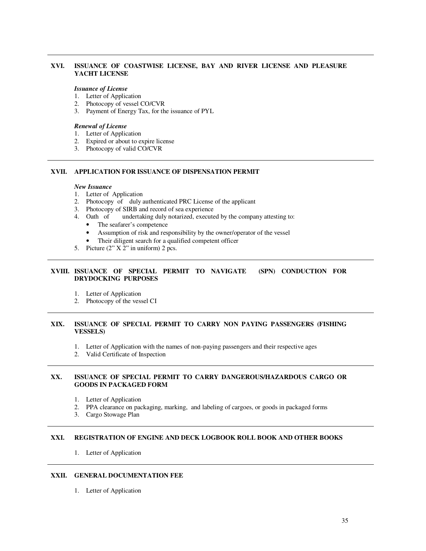### **XVI. ISSUANCE OF COASTWISE LICENSE, BAY AND RIVER LICENSE AND PLEASURE YACHT LICENSE**

### *Issuance of License*

- 1. Letter of Application
- 2. Photocopy of vessel CO/CVR
- 3. Payment of Energy Tax, for the issuance of PYL

### *Renewal of License*

- 1. Letter of Application
- 2. Expired or about to expire license
- 3. Photocopy of valid CO/CVR

#### **XVII. APPLICATION FOR ISSUANCE OF DISPENSATION PERMIT**

#### *New Issuance*

- 1. Letter of Application
- 2. Photocopy of duly authenticated PRC License of the applicant
- 3. Photocopy of SIRB and record of sea experience
- 4. Oath of undertaking duly notarized, executed by the company attesting to:
	- The seafarer's competence
	- Assumption of risk and responsibility by the owner/operator of the vessel
	- Their diligent search for a qualified competent officer
- 5. Picture (2" X 2" in uniform) 2 pcs.

### **XVIII. ISSUANCE OF SPECIAL PERMIT TO NAVIGATE (SPN) CONDUCTION FOR DRYDOCKING PURPOSES**

- 1. Letter of Application
- 2. Photocopy of the vessel CI

### **XIX. ISSUANCE OF SPECIAL PERMIT TO CARRY NON PAYING PASSENGERS (FISHING VESSELS)**

- 1. Letter of Application with the names of non-paying passengers and their respective ages
- 2. Valid Certificate of Inspection

#### **XX. ISSUANCE OF SPECIAL PERMIT TO CARRY DANGEROUS/HAZARDOUS CARGO OR GOODS IN PACKAGED FORM**

- 1. Letter of Application
- 2. PPA clearance on packaging, marking, and labeling of cargoes, or goods in packaged forms
- 3. Cargo Stowage Plan

#### **XXI. REGISTRATION OF ENGINE AND DECK LOGBOOK ROLL BOOK AND OTHER BOOKS**

1. Letter of Application

### **XXII. GENERAL DOCUMENTATION FEE**

1. Letter of Application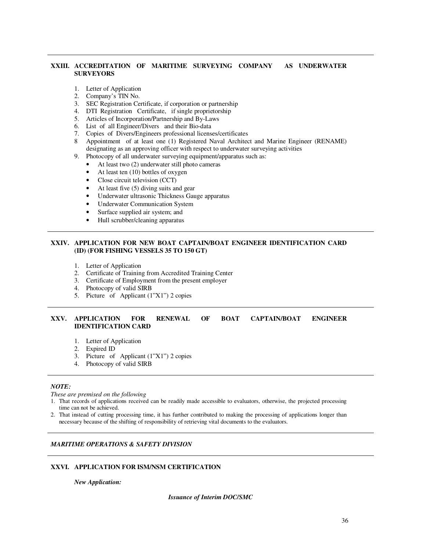### **XXIII. ACCREDITATION OF MARITIME SURVEYING COMPANY AS UNDERWATER SURVEYORS**

- 1. Letter of Application<br>2. Company's TIN No.
- Company's TIN No.
- 3. SEC Registration Certificate, if corporation or partnership
- 4. DTI Registration Certificate, if single proprietorship
- 5. Articles of Incorporation/Partnership and By-Laws
- 6. List of all Engineer/Divers and their Bio-data
- 7. Copies of Divers/Engineers professional licenses/certificates
- 8 Appointment of at least one (1) Registered Naval Architect and Marine Engineer (RENAME) designating as an approving officer with respect to underwater surveying activities
- 9. Photocopy of all underwater surveying equipment/apparatus such as:
	- At least two (2) underwater still photo cameras
	- At least ten (10) bottles of oxygen
	- Close circuit television (CCT)
	- At least five (5) diving suits and gear
	- Underwater ultrasonic Thickness Gauge apparatus
	- Underwater Communication System
	- Surface supplied air system; and
	- Hull scrubber/cleaning apparatus

#### **XXIV. APPLICATION FOR NEW BOAT CAPTAIN/BOAT ENGINEER IDENTIFICATION CARD (ID) (FOR FISHING VESSELS 35 TO 150 GT)**

- 1. Letter of Application
- 2. Certificate of Training from Accredited Training Center
- 3. Certificate of Employment from the present employer
- 4. Photocopy of valid SIRB
- 5. Picture of Applicant (1"X1") 2 copies

### **XXV. APPLICATION FOR RENEWAL OF BOAT CAPTAIN/BOAT ENGINEER IDENTIFICATION CARD**

- 1. Letter of Application
- 2. Expired ID
- 3. Picture of Applicant (1"X1") 2 copies
- 4. Photocopy of valid SIRB

#### *NOTE:*

*These are premised on the following* 

- 1. That records of applications received can be readily made accessible to evaluators, otherwise, the projected processing time can not be achieved.
- 2. That instead of cutting processing time, it has further contributed to making the processing of applications longer than necessary because of the shifting of responsibility of retrieving vital documents to the evaluators.

### *MARITIME OPERATIONS & SAFETY DIVISION*

### **XXVI. APPLICATION FOR ISM/NSM CERTIFICATION**

*New Application:*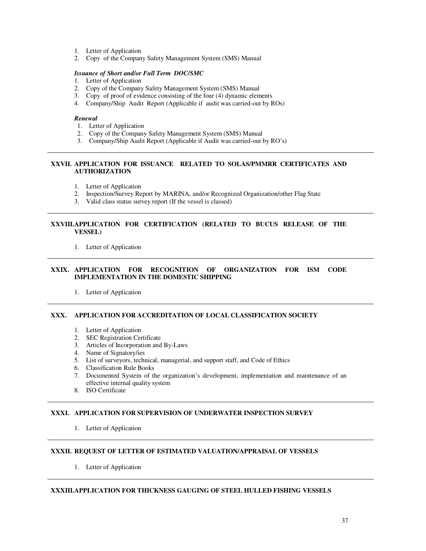- 1. Letter of Application
- 2. Copy of the Company Safety Management System (SMS) Manual

#### *Issuance of Short and/or Full Term DOC/SMC*

- 1. Letter of Application
- 2. Copy of the Company Safety Management System (SMS) Manual
- 3. Copy of proof of evidence consisting of the four (4) dynamic elements
- 4. Company/Ship Audit Report (Applicable if audit was carried-out by ROs)

#### *Renewal*

- 1. Letter of Application
- 2. Copy of the Company Safety Management System (SMS) Manual
- 3. Company/Ship Audit Report (Applicable if Audit was carried-out by RO's)

### **XXVII. APPLICATION FOR ISSUANCE RELATED TO SOLAS/PMMRR CERTIFICATES AND AUTHORIZATION**

- 1. Letter of Application
- 2. Inspection/Survey Report by MARINA, and/or Recognized Organization/other Flag State
- 3. Valid class status survey report (If the vessel is classed)

### **XXVIII.APPLICATION FOR CERTIFICATION (RELATED TO BUCUS RELEASE OF THE VESSEL)**

1. Letter of Application

### **XXIX. APPLICATION FOR RECOGNITION OF ORGANIZATION FOR ISM CODE IMPLEMENTATION IN THE DOMESTIC SHIPPING**

1. Letter of Application

### **XXX. APPLICATION FOR ACCREDITATION OF LOCAL CLASSIFICATION SOCIETY**

- 1. Letter of Application
- 2. SEC Registration Certificate
- 3. Articles of Incorporation and By-Laws
- 4. Name of Signatory/ies
- 5. List of surveyors, technical, managerial, and support staff, and Code of Ethics
- 6. Classification Rule Books
- 7. Documented System of the organization's development, implementation and maintenance of an effective internal quality system
- 8. ISO Certificate

### **XXXI. APPLICATION FOR SUPERVISION OF UNDERWATER INSPECTION SURVEY**

1. Letter of Application

## **XXXII. REQUEST OF LETTER OF ESTIMATED VALUATION/APPRAISAL OF VESSELS**

1. Letter of Application

### **XXXIII. APPLICATION FOR THICKNESS GAUGING OF STEEL HULLED FISHING VESSELS**